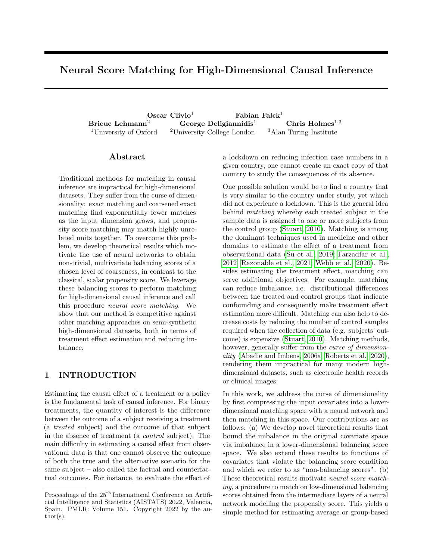# Neural Score Matching for High-Dimensional Causal Inference

 $\rm Oscar$  Clivio<sup>1</sup> Fabian Falck<sup>1</sup> Brieuc Lehmann<sup>2</sup> George Deligiannidis<sup>1</sup> Chris Holmes<sup>1,3</sup> <sup>1</sup>University of Oxford  $2$ <sup>University College London  $3$ Alan Turing Institute</sup>

## ${\rm Abstract}$

Traditional methods for matching in causal inference are impractical for high-dimensional datasets. They suffer from the curse of dimensionality: exact matching and coarsened exact matching find exponentially fewer matches as the input dimension grows, and propensity score matching may match highly unrelated units together. To overcome this problem, we develop theoretical results which motivate the use of neural networks to obtain non-trivial, multivariate balancing scores of a chosen level of coarseness, in contrast to the classical, scalar propensity score. We leverage these balancing scores to perform matching for high-dimensional causal inference and call this procedure neural score matching. We show that our method is competitive against other matching approaches on semi-synthetic high-dimensional datasets, both in terms of treatment effect estimation and reducing imbalance.

# 1 INTRODUCTION

Estimating the causal effect of a treatment or a policy is the fundamental task of causal inference. For binary treatments, the quantity of interest is the difference between the outcome of a subject receiving a treatment (a treated subject) and the outcome of that subject in the absence of treatment (a control subject). The main difficulty in estimating a causal effect from observational data is that one cannot observe the outcome of both the true and the alternative scenario for the same subject – also called the factual and counterfactual outcomes. For instance, to evaluate the effect of a lockdown on reducing infection case numbers in a given country, one cannot create an exact copy of that country to study the consequences of its absence.

One possible solution would be to find a country that is very similar to the country under study, yet which did not experience a lockdown. This is the general idea behind matching whereby each treated subject in the sample data is assigned to one or more subjects from the control group [\(Stuart, 2010\)](#page-10-0). Matching is among the dominant techniques used in medicine and other domains to estimate the effect of a treatment from observational data [\(Su et al., 2019;](#page-10-1) [Farzadfar et al.,](#page-9-0) [2012;](#page-9-0) [Razonable et al., 2021;](#page-10-2) [Webb et al., 2020\)](#page-10-3). Besides estimating the treatment effect, matching can serve additional objectives. For example, matching can reduce imbalance, i.e. distributional differences between the treated and control groups that indicate confounding and consequently make treatment effect estimation more difficult. Matching can also help to decrease costs by reducing the number of control samples required when the collection of data (e.g. subjects' outcome) is expensive [\(Stuart, 2010\)](#page-10-0). Matching methods, however, generally suffer from the *curse of dimension*ality [\(Abadie and Imbens, 2006a;](#page-9-1) [Roberts et al., 2020\)](#page-10-4), rendering them impractical for many modern highdimensional datasets, such as electronic health records or clinical images.

In this work, we address the curse of dimensionality by first compressing the input covariates into a lowerdimensional matching space with a neural network and then matching in this space. Our contributions are as follows: (a) We develop novel theoretical results that bound the imbalance in the original covariate space via imbalance in a lower-dimensional balancing score space. We also extend these results to functions of covariates that violate the balancing score condition and which we refer to as "non-balancing scores". (b) These theoretical results motivate neural score matching, a procedure to match on low-dimensional balancing scores obtained from the intermediate layers of a neural network modelling the propensity score. This yields a simple method for estimating average or group-based

Proceedings of the  $25^{\text{th}}$  International Conference on Artificial Intelligence and Statistics (AISTATS) 2022, Valencia, Spain. PMLR: Volume 151. Copyright 2022 by the au- $\text{thor}(s)$ .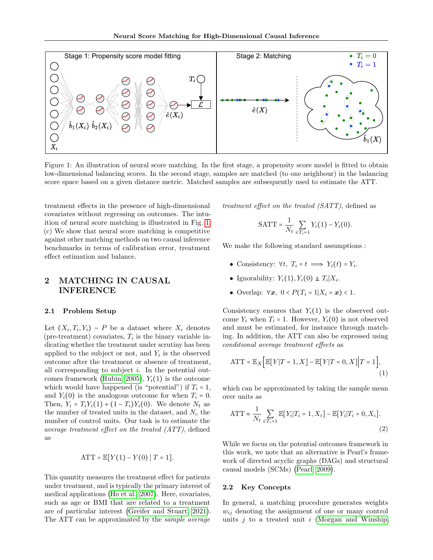<span id="page-1-0"></span>

score space based on a given distance metric. Matched samples are subsequently used to estimate the ATT. Figure 1: An illustration of neural score matching. In the first stage, a propensity score model is fitted to obtain low-dimensional balancing scores. In the second stage, samples are matched (to one neighbour) in the balancing

treatment effects in the presence of high-dimensional covariates without regressing on outcomes. The intuition of neural score matching is illustrated in Fig. [1.](#page-1-0) (c) We show that neural score matching is competitive against other matching methods on two causal inference benchmarks in terms of calibration error, treatment effect estimation and balance.

# 2 MATCHING IN CAUSAL INFERENCE

#### 2.1 Problem Setup

Let  $(X_i, T_i, Y_i) \sim P$  be a dataset where  $X_i$  denotes (pre-treatment) covariates,  $T_i$  is the binary variable indicating whether the treatment under scrutiny has been applied to the subject or not, and  $Y_i$  is the observed outcome after the treatment or absence of treatment, all corresponding to subject  $i$ . In the potential out-comes framework [\(Rubin, 2005\)](#page-10-5),  $Y_i(1)$  is the outcome which would have happened (is "potential") if  $T_i = 1$ , and  $Y_i(0)$  is the analogous outcome for when  $T_i = 0$ . Then,  $Y_i = T_i Y_i(1) + (1 - T_i) Y_i(0)$ . We denote  $N_t$  as the number of treated units in the dataset, and  $N_c$  the number of control units. Our task is to estimate the average treatment effect on the treated (ATT), defined as

$$
ATT = \mathbb{E}[Y(1) - Y(0) | T = 1].
$$

This quantity measures the treatment effect for patients under treatment, and is typically the primary interest of medical applications [\(Ho et al., 2007\)](#page-9-2). Here, covariates, such as age or BMI that are related to a treatment are of particular interest [\(Greifer and Stuart, 2021\)](#page-9-3). The ATT can be approximated by the sample average

treatment effect on the treated (SATT), defined as

$$
SATT = \frac{1}{N_t} \sum_{i:T_i=1} Y_i(1) - Y_i(0).
$$

We make the following standard assumptions :

- Consistency:  $\forall t, T_i = t \implies Y_i(t) = Y_i$ .
- Ignorability:  $Y_i(1), Y_i(0) \perp T_i | X_i$ .
- Overlap:  $\forall x, 0 < P(T_i = 1 | X_i = x) < 1$ .

Consistency ensures that  $Y_i(1)$  is the observed outcome  $Y_i$  when  $T_i = 1$ . However,  $Y_i(0)$  is not observed and must be estimated, for instance through matching. In addition, the ATT can also be expressed using conditional average treatment effects as

<span id="page-1-1"></span>
$$
ATT = \mathbb{E}_X \Big[ \mathbb{E}[Y|T=1, X] - \mathbb{E}[Y|T=0, X] \Big| T=1 \Big], \tag{1}
$$

which can be approximated by taking the sample mean over units as

<span id="page-1-2"></span>ATT 
$$
\approx \frac{1}{N_t} \sum_{i:T_i=1} \mathbb{E}[Y_i | T_i = 1, X_i] - \mathbb{E}[Y_i | T_i = 0, X_i].
$$
 (2)

While we focus on the potential outcomes framework in this work, we note that an alternative is Pearl's framework of directed acyclic graphs (DAGs) and structural causal models (SCMs) [\(Pearl, 2009\)](#page-10-6).

#### 2.2 Key Concepts

In general, a matching procedure generates weights  $w_{ij}$  denoting the assignment of one or many control units  $j$  to a treated unit  $i$  [\(Morgan and Winship,](#page-10-7)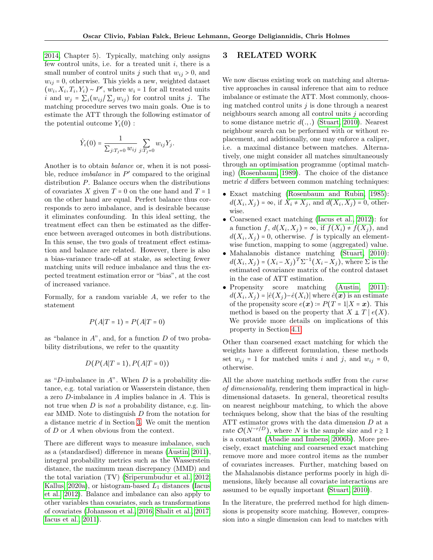[2014,](#page-10-7) Chapter 5). Typically, matching only assigns few control units, i.e. for a treated unit  $i$ , there is a small number of control units j such that  $w_{ij} > 0$ , and  $w_{ij} = 0$ , otherwise. This yields a new, weighted dataset  $(w_i, X_i, T_i, Y_i) \sim P'$ , where  $w_i = 1$  for all treated units i and  $w_j = \sum_i (w_{ij} / \sum_j w_{ij})$  for control units j. The matching procedure serves two main goals. One is to estimate the ATT through the following estimator of the potential outcome  $Y_i(0)$ :

$$
\hat{Y}_i(0) = \frac{1}{\sum_{j:T_j=0} w_{ij}} \sum_{j:T_j=0} w_{ij} Y_j.
$$

Another is to obtain balance or, when it is not possible, reduce *imbalance* in  $P'$  compared to the original distribution P. Balance occurs when the distributions of covariates X given  $T = 0$  on the one hand and  $T = 1$ on the other hand are equal. Perfect balance thus corresponds to zero imbalance, and is desirable because it eliminates confounding. In this ideal setting, the treatment effect can then be estimated as the difference between averaged outcomes in both distributions. In this sense, the two goals of treatment effect estimation and balance are related. However, there is also a bias-variance trade-off at stake, as selecting fewer matching units will reduce imbalance and thus the expected treatment estimation error or "bias", at the cost of increased variance.

Formally, for a random variable A, we refer to the statement

$$
P(A|T=1) = P(A|T=0)
$$

as "balance in  $A$ ", and, for a function  $D$  of two probability distributions, we refer to the quantity

$$
D(P(A|T=1), P(A|T=0))
$$

as "D-imbalance in  $A$ ". When  $D$  is a probability distance, e.g. total variation or Wasserstein distance, then a zero D-imbalance in A implies balance in A. This is not true when  $D$  is not a probability distance, e.g. linear MMD. Note to distinguish D from the notation for a distance metric d in Section [3.](#page-2-0) We omit the mention of D or A when obvious from the context.

There are different ways to measure imbalance, such as a (standardised) difference in means [\(Austin, 2011\)](#page-9-4), integral probability metrics such as the Wasserstein distance, the maximum mean discrepancy (MMD) and the total variation (TV) [\(Sriperumbudur et al., 2012;](#page-10-8) [Kallus, 2020a\)](#page-9-5), or histogram-based  $L_1$  distances [\(Iacus](#page-9-6) [et al., 2012\)](#page-9-6). Balance and imbalance can also apply to other variables than covariates, such as transformations of covariates [\(Johansson et al., 2016;](#page-9-7) [Shalit et al., 2017;](#page-10-9) [Iacus et al., 2011\)](#page-9-8).

# <span id="page-2-0"></span>3 RELATED WORK

We now discuss existing work on matching and alternative approaches in causal inference that aim to reduce imbalance or estimate the ATT. Most commonly, choosing matched control units  $j$  is done through a nearest neighbours search among all control units  $j$  according to some distance metric  $d(.,.)$  [\(Stuart, 2010\)](#page-10-0). Nearest neighbour search can be performed with or without replacement, and additionally, one may enforce a caliper, i.e. a maximal distance between matches. Alternatively, one might consider all matches simultaneously through an optimisation programme (optimal matching) [\(Rosenbaum, 1989\)](#page-10-10). The choice of the distance metric d differs between common matching techniques:

- Exact matching [\(Rosenbaum and Rubin, 1985\)](#page-10-11):  $d(X_i, X_j) = \infty$ , if  $X_i \neq X_j$ , and  $d(X_i, X_j) = 0$ , otherwise.
- Coarsened exact matching [\(Iacus et al., 2012\)](#page-9-6): for a function  $f, d(X_i, X_j) = \infty$ , if  $f(X_i) \neq f(X_j)$ , and<br>  $d(Y, Y_i) = 0$  otherwise for the tunically an element  $d(X_i, X_j) = 0$ , otherwise. f is typically an element-<br>wise function, mapping to same (aggregated) value. wise function, mapping to some (aggregated) value.
- Mahalanobis distance matching [\(Stuart, 2010\)](#page-10-0):  $d(X_i, X_j) = (X_i - X_j)^T \Sigma^{-1} (X_i - X_j)$ , where  $\Sigma$  is the estimated covariance matrix of the control dataset in the case of ATT estimation.
- Propensity score matching [\(Austin, 2011\)](#page-9-4):  $d(X_i, X_j) = |\hat{e}(X_j) - \hat{e}(X_i)|$  where  $\hat{e}(\boldsymbol{x})$  is an estimate of the propensity score  $e(x) = P(T = 1 | X = x)$ . This method is based on the property that  $X \perp T \mid e(X)$ . We provide more details on implications of this property in Section [4.1.](#page-3-0)

Other than coarsened exact matching for which the weights have a different formulation, these methods set  $w_{ij} = 1$  for matched units i and j, and  $w_{ij} = 0$ , otherwise.

All the above matching methods suffer from the curse of dimensionality, rendering them impractical in highdimensional datasets. In general, theoretical results on nearest neighbour matching, to which the above techniques belong, show that the bias of the resulting ATT estimator grows with the data dimension  $D$  at a rate  $\mathcal{O}(N^{-r/D})$ , where N is the sample size and  $r \geq 1$ is a constant [\(Abadie and Imbens, 2006b\)](#page-9-9). More precisely, exact matching and coarsened exact matching remove more and more control items as the number of covariates increases. Further, matching based on the Mahalanobis distance performs poorly in high dimensions, likely because all covariate interactions are assumed to be equally important [\(Stuart, 2010\)](#page-10-0).

In the literature, the preferred method for high dimensions is propensity score matching. However, compression into a single dimension can lead to matches with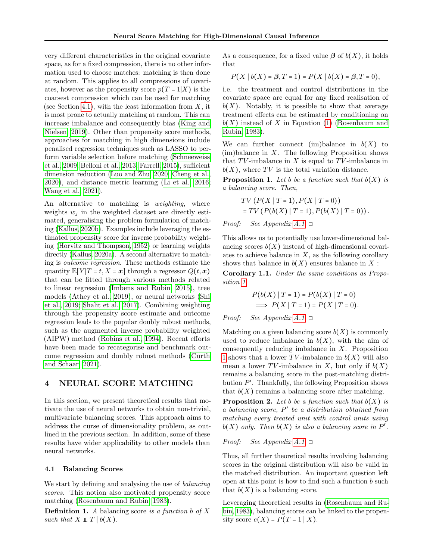very different characteristics in the original covariate space, as for a fixed compression, there is no other information used to choose matches: matching is then done at random. This applies to all compressions of covariates, however as the propensity score  $p(T = 1|X)$  is the coarsest compression which can be used for matching (see Section [4.1\)](#page-3-0), with the least information from  $X$ , it is most prone to actually matching at random. This can increase imbalance and consequently bias [\(King and](#page-9-10) [Nielsen, 2019\)](#page-9-10). Other than propensity score methods, approaches for matching in high dimensions include penalised regression techniques such as LASSO to perform variable selection before matching [\(Schneeweiss](#page-10-12) [et al., 2009;](#page-10-12) [Belloni et al., 2013;](#page-9-11) [Farrell, 2015\)](#page-9-12), sufficient dimension reduction [\(Luo and Zhu, 2020;](#page-9-13) [Cheng et al.,](#page-9-14) [2020\)](#page-9-14), and distance metric learning [\(Li et al., 2016;](#page-9-15) [Wang et al., 2021\)](#page-10-13).

An alternative to matching is *weighting*, where weights  $w_i$  in the weighted dataset are directly estimated, generalising the problem formulation of matching [\(Kallus, 2020b\)](#page-9-16). Examples include leveraging the estimated propensity score for inverse probability weighting [\(Horvitz and Thompson, 1952\)](#page-9-17) or learning weights directly [\(Kallus, 2020a\)](#page-9-5). A second alternative to matching is outcome regression. These methods estimate the quantity  $\mathbb{E}[Y|T=t, X=x]$  through a regressor  $Q(t, x)$ that can be fitted through various methods related to linear regression [\(Imbens and Rubin, 2015\)](#page-9-18), tree models [\(Athey et al., 2019\)](#page-9-19), or neural networks [\(Shi](#page-10-14) [et al., 2019;](#page-10-14) [Shalit et al., 2017\)](#page-10-9). Combining weighting through the propensity score estimate and outcome regression leads to the popular doubly robust methods, such as the augmented inverse probability weighted (AIPW) method [\(Robins et al., 1994\)](#page-10-15). Recent efforts have been made to recategorise and benchmark outcome regression and doubly robust methods [\(Curth](#page-9-20) [and Schaar, 2021\)](#page-9-20).

## 4 NEURAL SCORE MATCHING

In this section, we present theoretical results that motivate the use of neural networks to obtain non-trivial, multivariate balancing scores. This approach aims to address the curse of dimensionality problem, as outlined in the previous section. In addition, some of these results have wider applicability to other models than neural networks.

#### <span id="page-3-0"></span>4.1 Balancing Scores

We start by defining and analysing the use of balancing scores. This notion also motivated propensity score matching [\(Rosenbaum and Rubin, 1983\)](#page-10-16).

<span id="page-3-2"></span>**Definition 1.** A balancing score is a function b of X such that  $X \perp T \mid b(X)$ .

As a consequence, for a fixed value  $\beta$  of  $b(X)$ , it holds that

$$
P(X | b(X) = \beta, T = 1) = P(X | b(X) = \beta, T = 0),
$$

i.e. the treatment and control distributions in the covariate space are equal for any fixed realisation of  $b(X)$ . Notably, it is possible to show that average treatment effects can be estimated by conditioning on  $b(X)$  instead of X in Equation [\(1\)](#page-1-1) [\(Rosenbaum and](#page-10-16) [Rubin, 1983\)](#page-10-16).

We can further connect (im)balance in  $b(X)$  to  $(im)$ balance in X. The following Proposition shows that  $TV$ -imbalance in X is equal to  $TV$ -imbalance in  $b(X)$ , where TV is the total variation distance.

<span id="page-3-1"></span>**Proposition 1.** Let b be a function such that  $b(X)$  is a balancing score. Then,

$$
TV(P(X | T = 1), P(X | T = 0))
$$
  
= TV(P(b(X) | T = 1), P(b(X) | T = 0)).

*Proof:* See Appendix  $A.1. \Box$ 

This allows us to potentially use lower-dimensional balancing scores  $b(X)$  instead of high-dimensional covariates to achieve balance in  $X$ , as the following corollary shows that balance in  $b(X)$  ensures balance in X :

<span id="page-3-3"></span>Corollary 1.1. Under the same conditions as Proposition [1,](#page-3-1)

$$
P(b(X) | T = 1) = P(b(X) | T = 0)
$$
  
\n
$$
\implies P(X | T = 1) = P(X | T = 0).
$$

*Proof:* See Appendix  $A.1. \Box$ 

Matching on a given balancing score  $b(X)$  is commonly used to reduce imbalance in  $b(X)$ , with the aim of consequently reducing imbalance in X. Proposition [1](#page-3-1) shows that a lower  $TV$ -imbalance in  $b(X)$  will also mean a lower TV-imbalance in X, but only if  $b(X)$ remains a balancing score in the post-matching distribution  $P'$ . Thankfully, the following Proposition shows that  $b(X)$  remains a balancing score after matching.

**Proposition 2.** Let b be a function such that  $b(X)$  is a balancing score, P ′ be a distribution obtained from matching every treated unit with control units using  $b(X)$  only. Then  $b(X)$  is also a balancing score in  $P'$ .

#### *Proof:* See Appendix  $A.1. \Box$

Thus, all further theoretical results involving balancing scores in the original distribution will also be valid in the matched distribution. An important question left open at this point is how to find such a function b such that  $b(X)$  is a balancing score.

Leveraging theoretical results in [\(Rosenbaum and Ru](#page-10-16)[bin, 1983\)](#page-10-16), balancing scores can be linked to the propensity score  $e(X) = P(T = 1 | X)$ .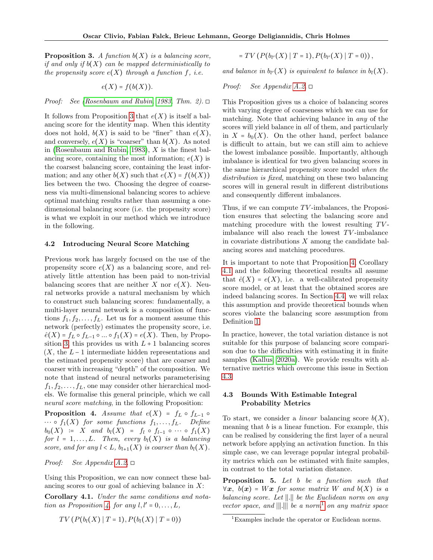<span id="page-4-0"></span>**Proposition 3.** A function  $b(X)$  is a balancing score, if and only if  $b(X)$  can be mapped deterministically to the propensity score  $e(X)$  through a function f, *i.e.* 

$$
e(X)=f(b(X)).
$$

Proof: See [\(Rosenbaum and Rubin, 1983,](#page-10-16) Thm. 2).  $\Box$ 

It follows from Proposition [3](#page-4-0) that  $e(X)$  is itself a balancing score for the identity map. When this identity does not hold,  $b(X)$  is said to be "finer" than  $e(X)$ , and conversely,  $e(X)$  is "coarser" than  $b(X)$ . As noted in [\(Rosenbaum and Rubin, 1983\)](#page-10-16),  $X$  is the finest balancing score, containing the most information;  $e(X)$  is the coarsest balancing score, containing the least information; and any other  $b(X)$  such that  $e(X) = f(b(X))$ lies between the two. Choosing the degree of coarseness via multi-dimensional balancing scores to achieve optimal matching results rather than assuming a onedimensional balancing score (i.e. the propensity score) is what we exploit in our method which we introduce in the following.

#### 4.2 Introducing Neural Score Matching

Previous work has largely focused on the use of the propensity score  $e(X)$  as a balancing score, and relatively little attention has been paid to non-trivial balancing scores that are neither X nor  $e(X)$ . Neural networks provide a natural mechanism by which to construct such balancing scores: fundamentally, a multi-layer neural network is a composition of functions  $f_1, f_2, \ldots, f_L$ . Let us for a moment assume this network (perfectly) estimates the propensity score, i.e.  $\hat{e}(X) = f_L \circ f_{L-1} \circ ... \circ f_1(X) = e(X)$ . Then, by Propo-sition [3,](#page-4-0) this provides us with  $L + 1$  balancing scores  $(X, \text{ the } L-1 \text{ intermediate hidden representations and}$ the estimated propensity score) that are coarser and coarser with increasing "depth" of the composition. We note that instead of neural networks parameterising  $f_1, f_2, \ldots, f_L$ , one may consider other hierarchical models. We formalise this general principle, which we call neural score matching, in the following Proposition:

<span id="page-4-1"></span>**Proposition 4.** Assume that  $e(X) = f_L \circ f_{L-1} \circ$  $\cdots \circ f_1(X)$  for some functions  $f_1, \ldots, f_L$ . Define  $b_0(X) := X$  and  $b_l(X) = f_l \circ f_{l-1} \circ \cdots \circ f_1(X)$ for  $l = 1, \ldots, L$ . Then, every  $b_l(X)$  is a balancing score, and for any  $l < L$ ,  $b_{l+1}(X)$  is coarser than  $b_l(X)$ .

*Proof:* See Appendix  $A.2. \Box$ 

Using this Proposition, we can now connect these balancing scores to our goal of achieving balance in  $X$ :

<span id="page-4-2"></span>Corollary 4.1. Under the same conditions and nota-tion as Proposition [4,](#page-4-1) for any  $l, l' = 0, \ldots, L$ ,

$$
TV(P(b_l(X) | T = 1), P(b_l(X) | T = 0))
$$

$$
= TV(P(b_{l'}(X) | T = 1), P(b_{l'}(X) | T = 0)),
$$

and balance in  $b_{l'}(X)$  is equivalent to balance in  $b_{l}(X)$ .

#### *Proof:* See Appendix  $A.2. \Box$

This Proposition gives us a choice of balancing scores with varying degree of coarseness which we can use for matching. Note that achieving balance in any of the scores will yield balance in all of them, and particularly in  $X = b_0(X)$ . On the other hand, perfect balance is difficult to attain, but we can still aim to achieve the lowest imbalance possible. Importantly, although imbalance is identical for two given balancing scores in the same hierarchical propensity score model when the distribution is fixed, matching on these two balancing scores will in general result in different distributions and consequently different imbalances.

Thus, if we can compute  $TV$ -imbalances, the Proposition ensures that selecting the balancing score and matching procedure with the lowest resulting  $TV$ imbalance will also reach the lowest  $TV$ -imbalance in covariate distributions  $X$  among the candidate balancing scores and matching procedures.

It is important to note that Proposition [4,](#page-4-1) Corollary [4.1](#page-4-2) and the following theoretical results all assume that  $\hat{e}(X) = e(X)$ , i.e. a well-calibrated propensity score model, or at least that the obtained scores are indeed balancing scores. In Section [4.4,](#page-6-0) we will relax this assumption and provide theoretical bounds when scores violate the balancing score assumption from Definition [1.](#page-3-2)

In practice, however, the total variation distance is not suitable for this purpose of balancing score comparison due to the difficulties with estimating it in finite samples [\(Kallus, 2020a\)](#page-9-5). We provide results with alternative metrics which overcome this issue in Section [4.3](#page-4-3)

## <span id="page-4-3"></span>4.3 Bounds With Estimable Integral Probability Metrics

To start, we consider a *linear* balancing score  $b(X)$ , meaning that  $b$  is a linear function. For example, this can be realised by considering the first layer of a neural network before applying an activation function. In this simple case, we can leverage popular integral probability metrics which can be estimated with finite samples, in contrast to the total variation distance.

<span id="page-4-5"></span>Proposition 5. Let b be a function such that  $\forall x, b(x) = Wx$  for some matrix W and  $b(X)$  is a balancing score. Let ∣∣.∣∣ be the Euclidean norm on any vector space, and  $\|\|\cdot\|\|$  be a norm<sup>[1](#page-4-4)</sup> on any matrix space

<span id="page-4-4"></span><sup>&</sup>lt;sup>1</sup>Examples include the operator or Euclidean norms.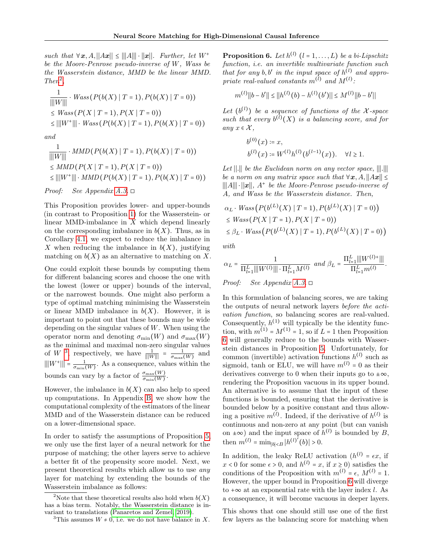such that  $\forall x, A, ||Ax|| \leq |||A|| \cdot ||x||$ . Further, let  $W^+$ be the Moore-Penrose pseudo-inverse of W, Wass be the Wasserstein distance, MMD be the linear MMD.  $Then<sup>2</sup>,$  $Then<sup>2</sup>,$  $Then<sup>2</sup>,$ 

$$
\frac{1}{\|W\|} \cdot \text{Wass}(P(b(X) | T = 1), P(b(X) | T = 0))
$$
\n
$$
\leq \text{Wass}(P(X | T = 1), P(X | T = 0))
$$
\n
$$
\leq \|W^+\| \cdot \text{Wass}(P(b(X) | T = 1), P(b(X) | T = 0))
$$

and

$$
\frac{1}{\|W\|} \cdot MMD(P(b(X) | T = 1), P(b(X) | T = 0))
$$
  
\n
$$
\le MMD(P(X | T = 1), P(X | T = 0))
$$
  
\n
$$
\le ||W^+|| \cdot MMD(P(b(X) | T = 1), P(b(X) | T = 0))
$$

*Proof:* See Appendix [A.3.](#page-13-0)  $\Box$ 

This Proposition provides lower- and upper-bounds (in contrast to Proposition [1\)](#page-3-1) for the Wasserstein- or linear MMD-imbalance in  $X$  which depend linearly on the corresponding imbalance in  $b(X)$ . Thus, as in Corollary [4.1,](#page-4-2) we expect to reduce the imbalance in X when reducing the imbalance in  $b(X)$ , justifying matching on  $b(X)$  as an alternative to matching on X.

One could exploit these bounds by computing them for different balancing scores and choose the one with the lowest (lower or upper) bounds of the interval, or the narrowest bounds. One might also perform a type of optimal matching minimising the Wasserstein or linear MMD imbalance in  $b(X)$ . However, it is important to point out that these bounds may be wide depending on the singular values of  $W$ . When using the operator norm and denoting  $\sigma_{\min}(W)$  and  $\sigma_{\max}(W)$ as the minimal and maximal non-zero singular values of W<sup>[3](#page-5-1)</sup>, respectively, we have  $\frac{1}{\|W\|} = \frac{1}{\sigma_{\max}(W)}$  and  $\|W^+\| = \frac{1}{\sigma_{\min}(W)}$ . As a consequence, values within the bounds can vary by a factor of  $\frac{\sigma_{\max}(W)}{\sigma_{\min}(W)}$ .

However, the imbalance in  $b(X)$  can also help to speed up computations. In Appendix [B,](#page-22-0) we show how the computational complexity of the estimators of the linear MMD and of the Wasserstein distance can be reduced on a lower-dimensional space.

In order to satisfy the assumptions of Proposition [5,](#page-4-5) we only use the first layer of a neural network for the purpose of matching; the other layers serve to achieve a better fit of the propensity score model. Next, we present theoretical results which allow us to use any layer for matching by extending the bounds of the Wasserstein imbalance as follows:

<span id="page-5-2"></span>**Proposition 6.** Let  $h^{(l)}$   $(l = 1, ..., L)$  be a bi-Lipschitz<br>function i.e. on investible multivariate function such function, i.e. an invertible multivariate function such that for any  $b, b'$  in the input space of  $h^{(l)}$  and appropriate real-valued constants  $m^{(l)}$  and  $M^{(l)}$ :

$$
m^{(l)}||b - b'|| \le ||h^{(l)}(b) - h^{(l)}(b')|| \le M^{(l)}||b - b'||
$$

Let  $(b^{(l)})$  be a sequence of functions of the X-space such that every  $b^{(l)}(X)$  is a balancing score, and for any  $x \in \mathcal{X}$ ,

$$
b^{(0)}(x) \coloneqq x,
$$
  
\n
$$
b^{(l)}(x) \coloneqq W^{(l)}h^{(l)}(b^{(l-1)}(x)). \quad \forall l \ge 1.
$$

Let ∣∣.∣∣ be the Euclidean norm on any vector space, ∣∣∣.∣∣∣ be a norm on any matrix space such that  $\forall x, A, ||Ax|| \leq$ ∣∣∣A∣∣∣ ⋅ ∣∣x∣∣, A + be the Moore-Penrose pseudo-inverse of A, and Wass be the Wasserstein distance. Then,

 $\mathcal{L}$ 

$$
\alpha_L \cdot \text{Wass}\left(P(b^{(L)}(X) \mid T = 1), P(b^{(L)}(X) \mid T = 0)\right) \leq \text{Wass}\left(P(X \mid T = 1), P(X \mid T = 0)\right) \leq \beta_L \cdot \text{Wass}\left(P(b^{(L)}(X) \mid T = 1), P(b^{(L)}(X) \mid T = 0)\right)
$$

with

$$
\alpha_L = \frac{1}{\prod_{l=1}^L |||W^{(l)}|| \cdot \prod_{l=1}^L M^{(l)}} \text{ and } \beta_L = \frac{\prod_{l=1}^L |||W^{(l)+}|||}{\prod_{l=1}^L m^{(l)}}.
$$

 $Proof:$  See Appendix [A.3.](#page-13-0)  $\Box$ 

In this formulation of balancing scores, we are taking the outputs of neural network layers before the activation function, so balancing scores are real-valued. Consequently,  $h^{(1)}$  will typically be the identity function, with  $m^{(1)} = M^{(1)} = 1$ , so if  $L = 1$  then Proposition [6](#page-5-2) will generally reduce to the bounds with Wasserstein distances in Proposition [5.](#page-4-5) Unfortunately, for common (invertible) activation functions  $h^{(l)}$  such as sigmoid, tanh or ELU, we will have  $m^{(l)} = 0$  as their derivatives converge to 0 when their inputs go to  $\pm \infty$ , rendering the Proposition vacuous in its upper bound. An alternative is to assume that the input of these functions is bounded, ensuring that the derivative is bounded below by a positive constant and thus allowing a positive  $m^{(l)}$ . Indeed, if the derivative of  $h^{(l)}$  is continuous and non-zero at any point (but can vanish on  $\pm \infty$ ) and the input space of  $h^{(l)}$  is bounded by B, then  $m^{(l)} = \min_{|b| < B} |h^{(l)'}(b)| > 0.$ 

In addition, the leaky ReLU activation  $(h^{(l)} = \epsilon x, \text{ if }$  $x < 0$  for some  $\epsilon > 0$ , and  $h^{(l)} = x$ , if  $x \ge 0$ ) satisfies the conditions of the Proposition with  $m^{(l)} = \epsilon$ ,  $M^{(l)} = 1$ . However, the upper bound in Proposition [6](#page-5-2) will diverge to  $+\infty$  at an exponential rate with the layer index l. As a consequence, it will become vacuous in deeper layers.

This shows that one should still use one of the first few layers as the balancing score for matching when

<span id="page-5-0"></span><sup>&</sup>lt;sup>2</sup>Note that these theoretical results also hold when  $b(X)$ has a bias term. Notably, the Wasserstein distance is invariant to translations [\(Panaretos and Zemel, 2019\)](#page-10-17).

<span id="page-5-1"></span><sup>&</sup>lt;sup>3</sup>This assumes  $W \neq 0$ , i.e. we do not have balance in X.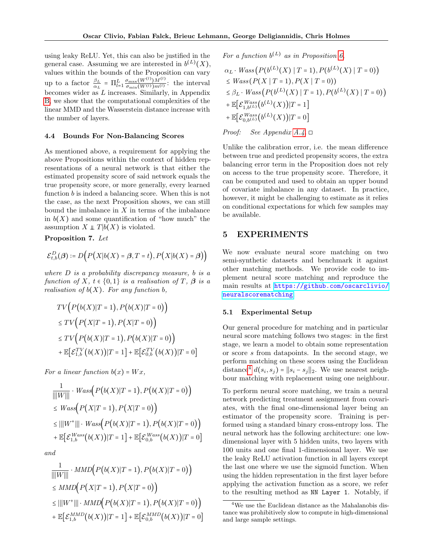using leaky ReLU. Yet, this can also be justified in the general case. Assuming we are interested in  $b^{(L)}(X)$ , values within the bounds of the Proposition can vary up to a factor  $\frac{\beta_L}{\alpha_L} = \prod_{l=1}^L \frac{\sigma_{\max}(W^{(l)})M^{(l)}}{\sigma_{\min}(W^{(l)})m^{(l)}}$  $\frac{\sigma_{\max}(W^{(1)})M^{(1)}}{\sigma_{\min}(W^{(l)})m^{(l)}}$ : the interval becomes wider as L increases. Similarly, in Appendix [B,](#page-22-0) we show that the computational complexities of the linear MMD and the Wasserstein distance increase with the number of layers.

#### <span id="page-6-0"></span>4.4 Bounds For Non-Balancing Scores

As mentioned above, a requirement for applying the above Propositions within the context of hidden representations of a neural network is that either the estimated propensity score of said network equals the true propensity score, or more generally, every learned function b is indeed a balancing score. When this is not the case, as the next Proposition shows, we can still bound the imbalance in  $X$  in terms of the imbalance in  $b(X)$  and some quantification of "how much" the assumption  $X \perp T | b(X)$  is violated.

### <span id="page-6-2"></span>Proposition 7. Let

$$
\mathcal{E}_{t,b}^D(\boldsymbol{\beta}) \coloneqq D\big(P\big(X|b(X) = \boldsymbol{\beta}, T = t\big), P\big(X|b(X) = \boldsymbol{\beta}\big)\big)
$$

where  $D$  is a probability discrepancy measure, b is a function of X,  $t \in \{0,1\}$  is a realisation of T,  $\beta$  is a realisation of  $b(X)$ . For any function b,

$$
TV(P(b(X)|T = 1), P(b(X)|T = 0))
$$
  
\n
$$
\leq TV(P(X|T = 1), P(X|T = 0))
$$
  
\n
$$
\leq TV(P(b(X)|T = 1), P(b(X)|T = 0))
$$
  
\n
$$
+ \mathbb{E}\big[\mathcal{E}_{1,b}^{TV}(b(X))|T = 1\big] + \mathbb{E}\big[\mathcal{E}_{0,b}^{TV}(b(X))|T = 0\big]
$$

For a linear function  $b(x) = Wx$ ,

$$
\frac{1}{\|W\|} \cdot Wass(P(b(X)|T=1), P(b(X)|T=0))
$$
\n
$$
\leq Wass(P(X|T=1), P(X|T=0))
$$
\n
$$
\leq |||W^+||| \cdot Wass(P(b(X)|T=1), P(b(X)|T=0))
$$
\n
$$
+ \mathbb{E}\big[\mathcal{E}_{1,b}^{Wass}(b(X))|T=1\big] + \mathbb{E}\big[\mathcal{E}_{0,b}^{Wass}(b(X))|T=0\big]
$$

and

$$
\frac{1}{|||W|||} \cdot MMD(P(b(X)|T=1), P(b(X)|T=0))
$$
\n
$$
\leq MMD(P(X|T=1), P(X|T=0))
$$
\n
$$
\leq |||W^+||| \cdot MMD(P(b(X)|T=1), P(b(X)|T=0))
$$
\n
$$
+ \mathbb{E}\big[\mathcal{E}_{1,b}^{MMD}(b(X))|T=1\big] + \mathbb{E}\big[\mathcal{E}_{0,b}^{MMD}(b(X))|T=0\big]
$$

For a function  $b^{(L)}$  as in Proposition [6,](#page-5-2)

$$
\alpha_L \cdot Wass\big(P(b^{(L)}(X) \mid T = 1), P(b^{(L)}(X) \mid T = 0)\big) \leq Wass\big(P(X \mid T = 1), P(X \mid T = 0)\big) \leq \beta_L \cdot Wass\big(P(b^{(L)}(X) \mid T = 1), P(b^{(L)}(X) \mid T = 0)\big) + \mathbb{E}\big[\mathcal{E}_{1,b^{(L)}}^{Wass}(b^{(L)}(X))|T = 1\big] + \mathbb{E}\big[\mathcal{E}_{0,b^{(L)}}^{Wass}(b^{(L)}(X))|T = 0\big]
$$

*Proof:* See Appendix  $A.\mathcal{A}.\Box$ 

Unlike the calibration error, i.e. the mean difference between true and predicted propensity scores, the extra balancing error term in the Proposition does not rely on access to the true propensity score. Therefore, it can be computed and used to obtain an upper bound of covariate imbalance in any dataset. In practice, however, it might be challenging to estimate as it relies on conditional expectations for which few samples may be available.

## 5 EXPERIMENTS

We now evaluate neural score matching on two semi-synthetic datasets and benchmark it against other matching methods. We provide code to implement neural score matching and reproduce the main results at [https://github.com/oscarclivio/](https://github.com/oscarclivio/neuralscorematching) [neuralscorematching](https://github.com/oscarclivio/neuralscorematching).

## 5.1 Experimental Setup

Our general procedure for matching and in particular neural score matching follows two stages: in the first stage, we learn a model to obtain some representation or score s from datapoints. In the second stage, we perform matching on these scores using the Euclidean distance<sup>[4](#page-6-1)</sup>  $d(s_i, s_j) = ||s_i - s_j||_2$ . We use nearest neighbour matching with replacement using one neighbour.

To perform neural score matching, we train a neural network predicting treatment assignment from covariates, with the final one-dimensional layer being an estimator of the propensity score. Training is performed using a standard binary cross-entropy loss. The neural network has the following architecture: one lowdimensional layer with 5 hidden units, two layers with 100 units and one final 1-dimensional layer. We use the leaky ReLU activation function in all layers except the last one where we use the sigmoid function. When using the hidden representation in the first layer before applying the activation function as a score, we refer to the resulting method as NN Layer 1. Notably, if

<span id="page-6-1"></span><sup>4</sup>We use the Euclidean distance as the Mahalanobis distance was prohibitively slow to compute in high-dimensional and large sample settings.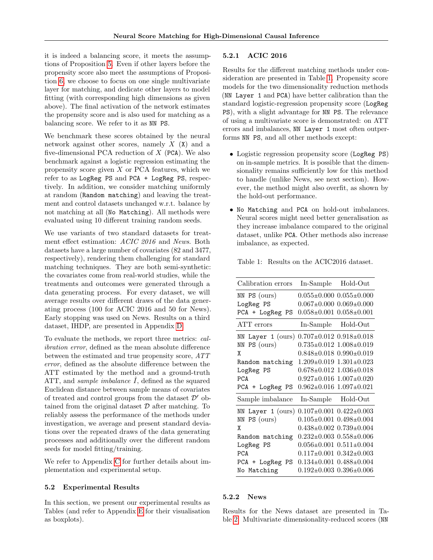it is indeed a balancing score, it meets the assumptions of Proposition [5.](#page-4-5) Even if other layers before the propensity score also meet the assumptions of Proposition [6,](#page-5-2) we choose to focus on one single multivariate layer for matching, and dedicate other layers to model fitting (with corresponding high dimensions as given above). The final activation of the network estimates the propensity score and is also used for matching as a balancing score. We refer to it as NN PS.

We benchmark these scores obtained by the neural network against other scores, namely  $X(X)$  and a five-dimensional PCA reduction of  $X$  (PCA). We also benchmark against a logistic regression estimating the propensity score given  $X$  or PCA features, which we refer to as LogReg PS and PCA + LogReg PS, respectively. In addition, we consider matching uniformly at random (Random matching) and leaving the treatment and control datasets unchanged w.r.t. balance by not matching at all (No Matching). All methods were evaluated using 10 different training random seeds.

We use variants of two standard datasets for treatment effect estimation: ACIC 2016 and News. Both datasets have a large number of covariates (82 and 3477, respectively), rendering them challenging for standard matching techniques. They are both semi-synthetic: the covariates come from real-world studies, while the treatments and outcomes were generated through a data generating process. For every dataset, we will average results over different draws of the data generating process (100 for ACIC 2016 and 50 for News). Early stopping was used on News. Results on a third dataset, IHDP, are presented in Appendix [D.](#page-26-0)

To evaluate the methods, we report three metrics: calibration error, defined as the mean absolute difference between the estimated and true propensity score, ATT error, defined as the absolute difference between the ATT estimated by the method and a ground-truth ATT, and *sample imbalance*  $\hat{I}$ , defined as the squared Euclidean distance between sample means of covariates of treated and control groups from the dataset  $\mathcal{D}'$  obtained from the original dataset  $\mathcal D$  after matching. To reliably assess the performance of the methods under investigation, we average and present standard deviations over the repeated draws of the data generating processes and additionally over the different random seeds for model fitting/training.

We refer to Appendix [C](#page-24-0) for further details about implementation and experimental setup.

#### 5.2 Experimental Results

In this section, we present our experimental results as Tables (and refer to Appendix [E](#page-26-1) for their visualisation as boxplots).

## 5.2.1 ACIC 2016

Results for the different matching methods under consideration are presented in Table [1.](#page-7-0) Propensity score models for the two dimensionality reduction methods (NN Layer 1 and PCA) have better calibration than the standard logistic-regression propensity score (LogReg PS), with a slight advantage for NN PS. The relevance of using a multivariate score is demonstrated: on ATT errors and imbalances, NN Layer 1 most often outperforms NN PS, and all other methods except:

- Logistic regression propensity score (LogReg PS) on in-sample metrics. It is possible that the dimensionality remains sufficiently low for this method to handle (unlike News, see next section). However, the method might also overfit, as shown by the hold-out performance.
- No Matching and PCA on hold-out imbalances. Neural scores might need better generalisation as they increase imbalance compared to the original dataset, unlike PCA. Other methods also increase imbalance, as expected.

<span id="page-7-0"></span>

|  |  |  |  | Table 1: Results on the ACIC2016 dataset. |  |
|--|--|--|--|-------------------------------------------|--|
|--|--|--|--|-------------------------------------------|--|

| Calibration errors     | In-Sample                           | Hold-Out                            |
|------------------------|-------------------------------------|-------------------------------------|
| NN PS (ours)           |                                     | $0.055 \pm 0.000$ $0.055 \pm 0.000$ |
| LogReg PS              |                                     | $0.067 \pm 0.000$ $0.069 \pm 0.000$ |
| PCA + LogReg<br>PS     | $0.058 \pm 0.001$ $0.058 \pm 0.001$ |                                     |
| ATT errors             | In-Sample                           | Hold-Out                            |
| Layer $1$ (ours)<br>ΝN |                                     | $0.707 \pm 0.012$ $0.918 \pm 0.018$ |
| PS (ours)<br>ΝN        |                                     | $0.735 \pm 0.012$ $1.008 \pm 0.019$ |
| X                      |                                     | $0.848\pm0.018$ $0.990\pm0.019$     |
| Random matching        |                                     | $1.209 \pm 0.019$ $1.301 \pm 0.023$ |
| LogReg PS              |                                     | $0.678 \pm 0.012$ 1.036 $\pm 0.018$ |
| <b>PCA</b>             |                                     | $0.927 \pm 0.016$ 1.007 $\pm 0.020$ |
| PCA + LogReg PS        |                                     | $0.962 \pm 0.016$ 1.097 $\pm 0.021$ |
| Sample imbalance       | In-Sample                           | Hold-Out                            |
| Layer $1$ (ours)<br>ΝN |                                     | $0.107 \pm 0.001$ $0.422 \pm 0.003$ |
| PS (ours)<br>NN        |                                     | $0.105 \pm 0.001$ $0.498 \pm 0.004$ |
| X                      |                                     | $0.438\pm0.002$ $0.739\pm0.004$     |
| Random matching        |                                     | $0.232 \pm 0.003$ $0.558 \pm 0.006$ |
| LogReg PS              |                                     | $0.056 \pm 0.001$ $0.511 \pm 0.004$ |
| <b>PCA</b>             |                                     | $0.117\pm0.001$ $0.342\pm0.003$     |
| PCA + LogReg<br>PS     |                                     | $0.134\pm0.001$ $0.488\pm0.004$     |
| No Matching            |                                     | $0.192 \pm 0.003$ $0.396 \pm 0.006$ |

## 5.2.2 News

Results for the News dataset are presented in Table [2.](#page-8-0) Multivariate dimensionality-reduced scores (NN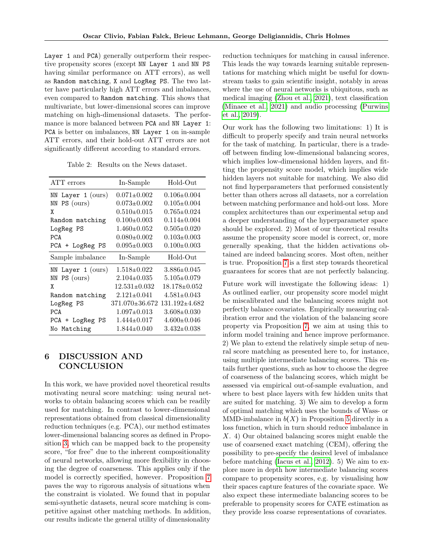Layer 1 and PCA) generally outperform their respective propensity scores (except NN Layer 1 and NN PS having similar performance on ATT errors), as well as Random matching, X and LogReg PS. The two latter have particularly high ATT errors and imbalances, even compared to Random matching. This shows that multivariate, but lower-dimensional scores can improve matching on high-dimensional datasets. The performance is more balanced between PCA and NN Layer 1: PCA is better on imbalances, NN Layer 1 on in-sample ATT errors, and their hold-out ATT errors are not significantly different according to standard errors.

Table 2: Results on the News dataset.

<span id="page-8-0"></span>

| ATT errors             | In-Sample          | Hold-Out            |
|------------------------|--------------------|---------------------|
| Layer $1$ (ours)<br>ΝN | $0.071 \pm 0.002$  | $0.106 \pm 0.004$   |
| PS (ours)<br>ΝN        | $0.073 \pm 0.002$  | $0.105 \pm 0.004$   |
| X                      | $0.510\pm0.015$    | $0.765 \pm 0.024$   |
| Random matching        | $0.100 \pm 0.003$  | $0.114\pm0.004$     |
| LogReg PS              | $1.460 \pm 0.052$  | $0.505 \pm 0.020$   |
| <b>PCA</b>             | $0.080 \pm 0.002$  | $0.103 \pm 0.003$   |
| PCA + LogReg PS        | $0.095 \pm 0.003$  | $0.100 \pm 0.003$   |
| Sample imbalance       | In-Sample          | Hold-Out            |
| Layer $1$ (ours)<br>ΝN | $1.518 \pm 0.022$  | $3.886 \pm 0.045$   |
| PS (ours)<br>ΝN        | $2.104 \pm 0.035$  | $5.105 \pm 0.079$   |
| χ                      | $12.531 \pm 0.032$ | 18.178±0.052        |
| Random matching        | $2.121 \pm 0.041$  | $4.581 \pm 0.043$   |
| LogReg PS              | 371.070±36.672     | $131.192 \pm 4.682$ |
| <b>PCA</b>             | $1.097 \pm 0.013$  | $3.608 \pm 0.030$   |
| PCA + LogReg PS        | $1.444 \pm 0.017$  | $4.600\pm0.046$     |
| No Matching            | $1.844 \pm 0.040$  | $3.432 \pm 0.038$   |

# 6 DISCUSSION AND **CONCLUSION**

In this work, we have provided novel theoretical results motivating neural score matching: using neural networks to obtain balancing scores which can be readily used for matching. In contrast to lower-dimensional representations obtained from classical dimensionality reduction techniques (e.g. PCA), our method estimates lower-dimensional balancing scores as defined in Proposition [3,](#page-4-0) which can be mapped back to the propensity score, "for free" due to the inherent compositionality of neural networks, allowing more flexibility in choosing the degree of coarseness. This applies only if the model is correctly specified, however. Proposition [7](#page-6-2) paves the way to rigorous analysis of situations when the constraint is violated. We found that in popular semi-synthetic datasets, neural score matching is competitive against other matching methods. In addition, our results indicate the general utility of dimensionality reduction techniques for matching in causal inference. This leads the way towards learning suitable representations for matching which might be useful for downstream tasks to gain scientific insight, notably in areas where the use of neural networks is ubiquitous, such as medical imaging [\(Zhou et al., 2021\)](#page-10-18), text classification [\(Minaee et al., 2021\)](#page-10-19) and audio processing [\(Purwins](#page-10-20) [et al., 2019\)](#page-10-20).

Our work has the following two limitations: 1) It is difficult to properly specify and train neural networks for the task of matching. In particular, there is a tradeoff between finding low-dimensional balancing scores, which implies low-dimensional hidden layers, and fitting the propensity score model, which implies wide hidden layers not suitable for matching. We also did not find hyperparameters that performed consistently better than others across all datasets, nor a correlation between matching performance and hold-out loss. More complex architectures than our experimental setup and a deeper understanding of the hyperparameter space should be explored. 2) Most of our theoretical results assume the propensity score model is correct, or, more generally speaking, that the hidden activations obtained are indeed balancing scores. Most often, neither is true. Proposition [7](#page-6-2) is a first step towards theoretical guarantees for scores that are not perfectly balancing.

Future work will investigate the following ideas: 1) As outlined earlier, our propensity score model might be miscalibrated and the balancing scores might not perfectly balance covariates. Empirically measuring calibration error and the violation of the balancing score property via Proposition [7,](#page-6-2) we aim at using this to inform model training and hence improve performance. 2) We plan to extend the relatively simple setup of neural score matching as presented here to, for instance, using multiple intermediate balancing scores. This entails further questions, such as how to choose the degree of coarseness of the balancing scores, which might be assessed via empirical out-of-sample evaluation, and where to best place layers with few hidden units that are suited for matching. 3) We aim to develop a form of optimal matching which uses the bounds of Wass- or MMD-imbalance in  $b(X)$  in Proposition [5](#page-4-5) directly in a loss function, which in turn should reduce imbalance in X. 4) Our obtained balancing scores might enable the use of coarsened exact matching (CEM), offering the possibility to pre-specify the desired level of imbalance before matching [\(Iacus et al., 2012\)](#page-9-6). 5) We aim to explore more in depth how intermediate balancing scores compare to propensity scores, e.g. by visualising how their spaces capture features of the covariate space. We also expect these intermediate balancing scores to be preferable to propensity scores for CATE estimation as they provide less coarse representations of covariates.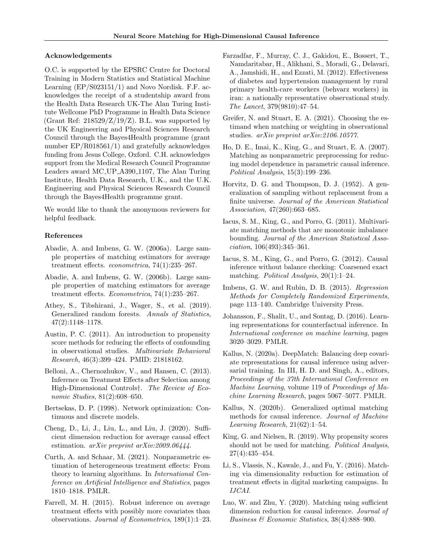#### Acknowledgements

O.C. is supported by the EPSRC Centre for Doctoral Training in Modern Statistics and Statistical Machine Learning (EP/S023151/1) and Novo Nordisk. F.F. acknowledges the receipt of a studentship award from the Health Data Research UK-The Alan Turing Institute Wellcome PhD Programme in Health Data Science (Grant Ref:  $218529/Z/19/Z$ ). B.L. was supported by the UK Engineering and Physical Sciences Research Council through the Bayes4Health programme (grant number EP/R018561/1) and gratefully acknowledges funding from Jesus College, Oxford. C.H. acknowledges support from the Medical Research Council Programme Leaders award MC UP A390 1107, The Alan Turing Institute, Health Data Research, U.K., and the U.K. Engineering and Physical Sciences Research Council through the Bayes4Health programme grant.

We would like to thank the anonymous reviewers for helpful feedback.

#### References

- <span id="page-9-1"></span>Abadie, A. and Imbens, G. W. (2006a). Large sample properties of matching estimators for average treatment effects. econometrica, 74(1):235–267.
- <span id="page-9-9"></span>Abadie, A. and Imbens, G. W. (2006b). Large sample properties of matching estimators for average treatment effects. Econometrica, 74(1):235–267.
- <span id="page-9-19"></span>Athey, S., Tibshirani, J., Wager, S., et al. (2019). Generalized random forests. Annals of Statistics, 47(2):1148–1178.
- <span id="page-9-4"></span>Austin, P. C. (2011). An introduction to propensity score methods for reducing the effects of confounding in observational studies. Multivariate Behavioral Research, 46(3):399–424. PMID: 21818162.
- <span id="page-9-11"></span>Belloni, A., Chernozhukov, V., and Hansen, C. (2013). Inference on Treatment Effects after Selection among High-Dimensional Controls†. The Review of Economic Studies, 81(2):608–650.
- <span id="page-9-21"></span>Bertsekas, D. P. (1998). Network optimization: Continuous and discrete models.
- <span id="page-9-14"></span>Cheng, D., Li, J., Liu, L., and Liu, J. (2020). Sufficient dimension reduction for average causal effect estimation. arXiv preprint arXiv:2009.06444.
- <span id="page-9-20"></span>Curth, A. and Schaar, M. (2021). Nonparametric estimation of heterogeneous treatment effects: From theory to learning algorithms. In International Conference on Artificial Intelligence and Statistics, pages 1810–1818. PMLR.
- <span id="page-9-12"></span>Farrell, M. H. (2015). Robust inference on average treatment effects with possibly more covariates than observations. Journal of Econometrics, 189(1):1–23.
- <span id="page-9-0"></span>Farzadfar, F., Murray, C. J., Gakidou, E., Bossert, T., Namdaritabar, H., Alikhani, S., Moradi, G., Delavari, A., Jamshidi, H., and Ezzati, M. (2012). Effectiveness of diabetes and hypertension management by rural primary health-care workers (behvarz workers) in iran: a nationally representative observational study. The Lancet, 379(9810):47–54.
- <span id="page-9-3"></span>Greifer, N. and Stuart, E. A. (2021). Choosing the estimand when matching or weighting in observational studies. arXiv preprint arXiv:2106.10577.
- <span id="page-9-2"></span>Ho, D. E., Imai, K., King, G., and Stuart, E. A. (2007). Matching as nonparametric preprocessing for reducing model dependence in parametric causal inference. Political Analysis, 15(3):199–236.
- <span id="page-9-17"></span>Horvitz, D. G. and Thompson, D. J. (1952). A generalization of sampling without replacement from a finite universe. Journal of the American Statistical Association, 47(260):663–685.
- <span id="page-9-8"></span>Iacus, S. M., King, G., and Porro, G. (2011). Multivariate matching methods that are monotonic imbalance bounding. Journal of the American Statistical Association, 106(493):345–361.
- <span id="page-9-6"></span>Iacus, S. M., King, G., and Porro, G. (2012). Causal inference without balance checking: Coarsened exact matching. Political Analysis, 20(1):1–24.
- <span id="page-9-18"></span>Imbens, G. W. and Rubin, D. B. (2015). Regression Methods for Completely Randomized Experiments, page 113–140. Cambridge University Press.
- <span id="page-9-7"></span>Johansson, F., Shalit, U., and Sontag, D. (2016). Learning representations for counterfactual inference. In International conference on machine learning, pages 3020–3029. PMLR.
- <span id="page-9-5"></span>Kallus, N. (2020a). DeepMatch: Balancing deep covariate representations for causal inference using adversarial training. In III, H. D. and Singh, A., editors, Proceedings of the 37th International Conference on Machine Learning, volume 119 of Proceedings of Machine Learning Research, pages 5067–5077. PMLR.
- <span id="page-9-16"></span>Kallus, N. (2020b). Generalized optimal matching methods for causal inference. Journal of Machine Learning Research, 21(62):1–54.
- <span id="page-9-10"></span>King, G. and Nielsen, R. (2019). Why propensity scores should not be used for matching. Political Analysis, 27(4):435–454.
- <span id="page-9-15"></span>Li, S., Vlassis, N., Kawale, J., and Fu, Y. (2016). Matching via dimensionality reduction for estimation of treatment effects in digital marketing campaigns. In IJCAI.
- <span id="page-9-13"></span>Luo, W. and Zhu, Y. (2020). Matching using sufficient dimension reduction for causal inference. Journal of Business & Economic Statistics, 38(4):888–900.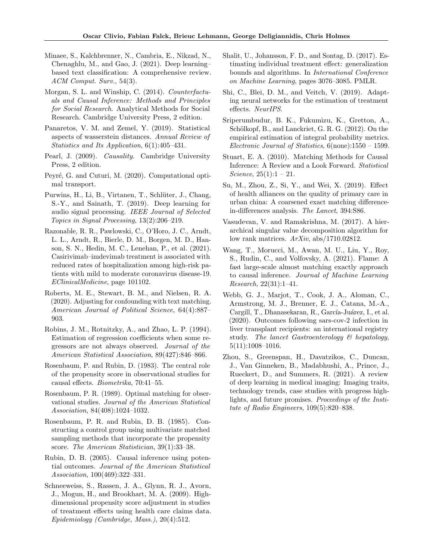- <span id="page-10-19"></span>Minaee, S., Kalchbrenner, N., Cambria, E., Nikzad, N., Chenaghlu, M., and Gao, J. (2021). Deep learning– based text classification: A comprehensive review. ACM Comput. Surv., 54(3).
- <span id="page-10-7"></span>Morgan, S. L. and Winship, C. (2014). Counterfactuals and Causal Inference: Methods and Principles for Social Research. Analytical Methods for Social Research. Cambridge University Press, 2 edition.
- <span id="page-10-17"></span>Panaretos, V. M. and Zemel, Y. (2019). Statistical aspects of wasserstein distances. Annual Review of Statistics and Its Application, 6(1):405–431.
- <span id="page-10-6"></span>Pearl, J. (2009). Causality. Cambridge University Press, 2 edition.
- <span id="page-10-21"></span>Peyré, G. and Cuturi, M. (2020). Computational optimal transport.
- <span id="page-10-20"></span>Purwins, H., Li, B., Virtanen, T., Schlüter, J., Chang, S.-Y., and Sainath, T. (2019). Deep learning for audio signal processing. IEEE Journal of Selected Topics in Signal Processing, 13(2):206–219.
- <span id="page-10-2"></span>Razonable, R. R., Pawlowski, C., O'Horo, J. C., Arndt, L. L., Arndt, R., Bierle, D. M., Borgen, M. D., Hanson, S. N., Hedin, M. C., Lenehan, P., et al. (2021). Casirivimab–imdevimab treatment is associated with reduced rates of hospitalization among high-risk patients with mild to moderate coronavirus disease-19. EClinicalMedicine, page 101102.
- <span id="page-10-4"></span>Roberts, M. E., Stewart, B. M., and Nielsen, R. A. (2020). Adjusting for confounding with text matching. American Journal of Political Science, 64(4):887– 903.
- <span id="page-10-15"></span>Robins, J. M., Rotnitzky, A., and Zhao, L. P. (1994). Estimation of regression coefficients when some regressors are not always observed. Journal of the American Statistical Association, 89(427):846–866.
- <span id="page-10-16"></span>Rosenbaum, P. and Rubin, D. (1983). The central role of the propensity score in observational studies for causal effects. Biometrika, 70:41–55.
- <span id="page-10-10"></span>Rosenbaum, P. R. (1989). Optimal matching for observational studies. Journal of the American Statistical Association, 84(408):1024–1032.
- <span id="page-10-11"></span>Rosenbaum, P. R. and Rubin, D. B. (1985). Constructing a control group using multivariate matched sampling methods that incorporate the propensity score. The American Statistician, 39(1):33–38.
- <span id="page-10-5"></span>Rubin, D. B. (2005). Causal inference using potential outcomes. Journal of the American Statistical Association, 100(469):322–331.
- <span id="page-10-12"></span>Schneeweiss, S., Rassen, J. A., Glynn, R. J., Avorn, J., Mogun, H., and Brookhart, M. A. (2009). Highdimensional propensity score adjustment in studies of treatment effects using health care claims data. Epidemiology (Cambridge, Mass.), 20(4):512.
- <span id="page-10-9"></span>Shalit, U., Johansson, F. D., and Sontag, D. (2017). Estimating individual treatment effect: generalization bounds and algorithms. In International Conference on Machine Learning, pages 3076–3085. PMLR.
- <span id="page-10-14"></span>Shi, C., Blei, D. M., and Veitch, V. (2019). Adapting neural networks for the estimation of treatment effects. NeurIPS.
- <span id="page-10-8"></span>Sriperumbudur, B. K., Fukumizu, K., Gretton, A., Schölkopf, B., and Lanckriet, G. R. G. (2012). On the empirical estimation of integral probability metrics. Electronic Journal of Statistics, 6(none):1550 – 1599.
- <span id="page-10-0"></span>Stuart, E. A. (2010). Matching Methods for Causal Inference: A Review and a Look Forward. Statistical Science,  $25(1):1 - 21$ .
- <span id="page-10-1"></span>Su, M., Zhou, Z., Si, Y., and Wei, X. (2019). Effect of health alliances on the quality of primary care in urban china: A coarsened exact matching differencein-differences analysis. The Lancet, 394:S86.
- <span id="page-10-22"></span>Vasudevan, V. and Ramakrishna, M. (2017). A hierarchical singular value decomposition algorithm for low rank matrices. ArXiv, abs/1710.02812.
- <span id="page-10-13"></span>Wang, T., Morucci, M., Awan, M. U., Liu, Y., Roy, S., Rudin, C., and Volfovsky, A. (2021). Flame: A fast large-scale almost matching exactly approach to causal inference. Journal of Machine Learning Research, 22(31):1–41.
- <span id="page-10-3"></span>Webb, G. J., Marjot, T., Cook, J. A., Aloman, C., Armstrong, M. J., Brenner, E. J., Catana, M.-A., Cargill, T., Dhanasekaran, R., García-Juárez, I., et al. (2020). Outcomes following sars-cov-2 infection in liver transplant recipients: an international registry study. The lancet Gastroenterology & hepatology, 5(11):1008–1016.
- <span id="page-10-18"></span>Zhou, S., Greenspan, H., Davatzikos, C., Duncan, J., Van Ginneken, B., Madabhushi, A., Prince, J., Rueckert, D., and Summers, R. (2021). A review of deep learning in medical imaging: Imaging traits, technology trends, case studies with progress highlights, and future promises. Proceedings of the Institute of Radio Engineers, 109(5):820–838.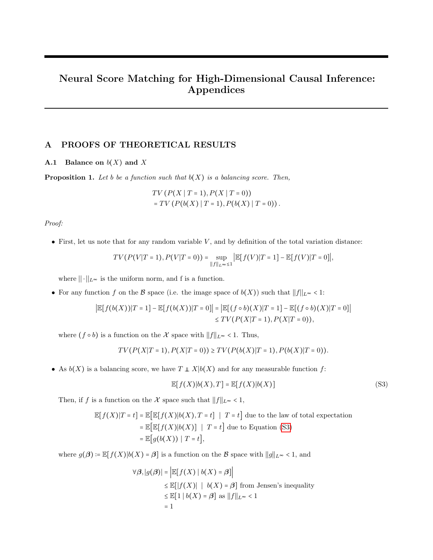# Neural Score Matching for High-Dimensional Causal Inference: Appendices

# A PROOFS OF THEORETICAL RESULTS

## <span id="page-11-0"></span>**A.1** Balance on  $b(X)$  and X

**Proposition 1.** Let b be a function such that  $b(X)$  is a balancing score. Then,

$$
TV(P(X | T = 1), P(X | T = 0))
$$
  
= TV(P(b(X) | T = 1), P(b(X) | T = 0)).

Proof:

• First, let us note that for any random variable  $V$ , and by definition of the total variation distance:

$$
TV(P(V|T=1), P(V|T=0)) = \sup_{\|f\|_{L^{\infty}} \leq 1} \left| \mathbb{E}[f(V)|T=1] - \mathbb{E}[f(V)|T=0] \right|,
$$

where  $\|\cdot\|_{L^{\infty}}$  is the uniform norm, and f is a function.

• For any function f on the B space (i.e. the image space of  $b(X)$ ) such that  $||f||_{L^{\infty}} < 1$ :

$$
\left| \mathbb{E}[f(b(X))|T=1] - \mathbb{E}[f(b(X))|T=0] \right| = \left| \mathbb{E}[(f \circ b)(X)|T=1] - \mathbb{E}[(f \circ b)(X)|T=0] \right|
$$
  

$$
\leq TV(P(X|T=1), P(X|T=0)),
$$

where  $(f \circ b)$  is a function on the X space with  $||f||_{L^{\infty}} < 1$ . Thus,

$$
TV(P(X|T=1), P(X|T=0)) \geq TV(P(b(X)|T=1), P(b(X)|T=0)).
$$

• As  $b(X)$  is a balancing score, we have  $T \perp X|b(X)$  and for any measurable function f:

<span id="page-11-1"></span>
$$
\mathbb{E}[f(X)|b(X),T] = \mathbb{E}[f(X)|b(X)]
$$
\n(S3)

Then, if  $f$  is a function on the  $\mathcal X$  space such that  $||f||_{L^{\infty}} < 1$ ,

$$
\mathbb{E}[f(X)|T=t] = \mathbb{E}[\mathbb{E}[f(X)|b(X), T=t] \mid T=t] \text{ due to the law of total expectation}
$$

$$
= \mathbb{E}[\mathbb{E}[f(X)|b(X)] \mid T=t] \text{ due to Equation (S3)}
$$

$$
= \mathbb{E}[g(b(X)) \mid T=t],
$$

where  $g(\beta) := \mathbb{E}[f(X)|b(X) = \beta]$  is a function on the B space with  $||g||_{L^{\infty}} < 1$ , and

$$
\forall \beta, |g(\beta)| = \left| \mathbb{E}[f(X) | b(X) = \beta] \right|
$$
  
\n
$$
\leq \mathbb{E}[|f(X)| | b(X) = \beta] \text{ from Jensen's inequality}
$$
  
\n
$$
\leq \mathbb{E}[1 | b(X) = \beta] \text{ as } ||f||_{L^{\infty}} < 1
$$
  
\n
$$
= 1
$$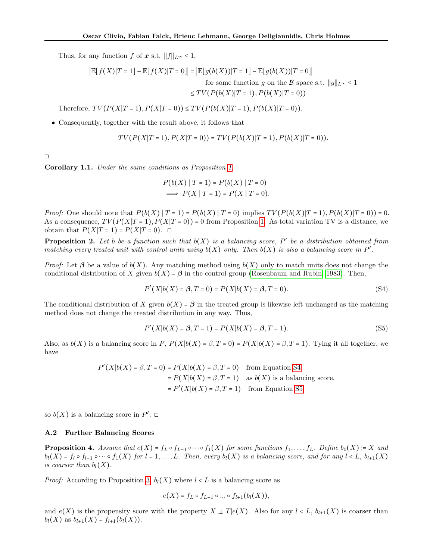Thus, for any function f of  $x$  s.t.  $||f||_{L^{\infty}} \leq 1$ ,

$$
\left| \mathbb{E}[f(X)|T=1] - \mathbb{E}[f(X)|T=0] \right| = \left| \mathbb{E}[g(b(X))|T=1] - \mathbb{E}[g(b(X))|T=0] \right|
$$
  
for some function g on the  $\mathcal{B}$  space s.t.  $||g||_{L^{\infty}} \le 1$   

$$
\le TV(P(b(X)|T=1), P(b(X)|T=0))
$$

Therefore,  $TV(P(X|T = 1), P(X|T = 0)) \le TV(P(b(X)|T = 1), P(b(X)|T = 0)).$ 

• Consequently, together with the result above, it follows that

$$
TV(P(X|T=1), P(X|T=0)) = TV(P(b(X)|T=1), P(b(X)|T=0)).
$$

◻

Corollary 1.1. Under the same conditions as Proposition [1,](#page-3-1)

$$
P(b(X) | T = 1) = P(b(X) | T = 0)
$$
  
\n
$$
\implies P(X | T = 1) = P(X | T = 0).
$$

*Proof:* One should note that  $P(b(X) | T = 1) = P(b(X) | T = 0)$  implies  $TV(P(b(X) | T = 1), P(b(X) | T = 0) = 0$ . As a consequence,  $TV(P(X|T=1), P(X|T=0)) = 0$  from Proposition [1.](#page-3-1) As total variation TV is a distance, we obtain that  $P(X|T=1) = P(X|T=0)$ . □

**Proposition 2.** Let b be a function such that  $b(X)$  is a balancing score, P' be a distribution obtained from matching every treated unit with control units using  $b(X)$  only. Then  $b(X)$  is also a balancing score in  $P'$ .

*Proof:* Let  $\beta$  be a value of  $b(X)$ . Any matching method using  $b(X)$  only to match units does not change the conditional distribution of X given  $b(X) = \beta$  in the control group [\(Rosenbaum and Rubin, 1983\)](#page-10-16). Then,

<span id="page-12-1"></span>
$$
P'(X|b(X) = \beta, T = 0) = P(X|b(X) = \beta, T = 0).
$$
 (S4)

The conditional distribution of X given  $b(X) = \beta$  in the treated group is likewise left unchanged as the matching method does not change the treated distribution in any way. Thus,

<span id="page-12-2"></span>
$$
P'(X|b(X) = \beta, T = 1) = P(X|b(X) = \beta, T = 1).
$$
\n(S5)

Also, as  $b(X)$  is a balancing score in P,  $P(X|b(X) = \beta, T = 0) = P(X|b(X) = \beta, T = 1)$ . Tying it all together, we have

$$
P'(X|b(X) = \beta, T = 0) = P(X|b(X) = \beta, T = 0) \quad \text{from Equation S4}
$$

$$
= P(X|b(X) = \beta, T = 1) \quad \text{as } b(X) \text{ is a balancing score.}
$$

$$
= P'(X|b(X) = \beta, T = 1) \quad \text{from Equation S5}
$$

so  $b(X)$  is a balancing score in P'.  $\Box$ 

#### <span id="page-12-0"></span>A.2 Further Balancing Scores

**Proposition 4.** Assume that  $e(X) = f_L \circ f_{L-1} \circ \cdots \circ f_1(X)$  for some functions  $f_1, \ldots, f_L$ . Define  $b_0(X) = X$  and  $b_l(X) = f_l \circ f_{l-1} \circ \cdots \circ f_1(X)$  for  $l = 1, \ldots, L$ . Then, every  $b_l(X)$  is a balancing score, and for any  $l < L$ ,  $b_{l+1}(X)$ is coarser than  $b_l(X)$ .

*Proof:* According to Proposition [3,](#page-4-0)  $b_l(X)$  where  $l < L$  is a balancing score as

$$
e(X) = f_L \circ f_{L-1} \circ \dots \circ f_{l+1}(b_l(X)),
$$

and  $e(X)$  is the propensity score with the property  $X \perp T | e(X)$ . Also for any  $l < L$ ,  $b_{l+1}(X)$  is coarser than  $b_l(X)$  as  $b_{l+1}(X) = f_{l+1}(b_l(X)).$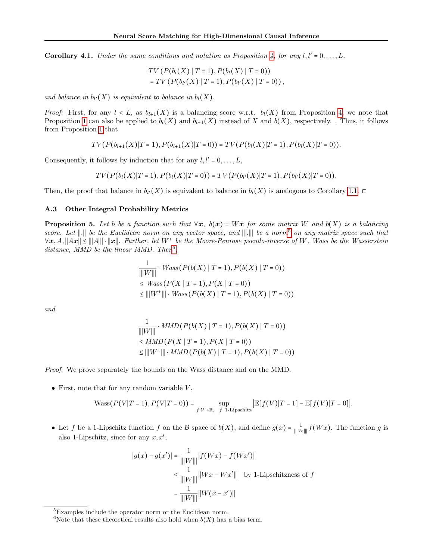**Corollary 4.1.** Under the same conditions and notation as Proposition [4,](#page-4-1) for any  $l, l' = 0, \ldots, L$ ,

$$
TV(P(b_l(X) | T = 1), P(b_l(X) | T = 0))
$$
  
= TV(P(b\_{l'}(X) | T = 1), P(b\_{l'}(X) | T = 0)),

and balance in  $b_{l'}(X)$  is equivalent to balance in  $b_{l}(X)$ .

*Proof:* First, for any  $l < L$ , as  $b_{l+1}(X)$  is a balancing score w.r.t.  $b_l(X)$  from Proposition [4,](#page-4-1) we note that Proposition [1](#page-3-1) can also be applied to  $b_l(X)$  and  $b_{l+1}(X)$  instead of X and  $b(X)$ , respectively. . Thus, it follows from Proposition [1](#page-3-1) that

$$
TV(P(b_{l+1}(X)|T=1), P(b_{l+1}(X)|T=0)) = TV(P(b_l(X)|T=1), P(b_l(X)|T=0)).
$$

Consequently, it follows by induction that for any  $l, l' = 0, \ldots, L$ ,

$$
TV(P(b_l(X)|T=1), P(b_l(X)|T=0)) = TV(P(b_{l'}(X)|T=1), P(b_{l'}(X)|T=0)).
$$

Then, the proof that balance in  $b_l(X)$  is equivalent to balance in  $b_l(X)$  is analogous to Corollary [1.1.](#page-3-3)  $\Box$ 

## <span id="page-13-0"></span>A.3 Other Integral Probability Metrics

**Proposition 5.** Let b be a function such that  $\forall x, b(x) = Wx$  for some matrix W and  $b(X)$  is a balancing score. Let ||.|| be the Euclidean norm on any vector space, and |||.||| be a norm<sup>[5](#page-13-1)</sup> on any matrix space such that  $\forall x, A, ||Ax|| \leq ||A|| \cdot ||x||$ . Further, let  $W^+$  be the Moore-Penrose pseudo-inverse of W, Wass be the Wasserstein distance, MMD be the linear MMD. Then<sup>[6](#page-13-2)</sup>,

$$
\frac{1}{\|W\|} \cdot \text{Wass}(P(b(X) | T = 1), P(b(X) | T = 0))
$$
\n
$$
\leq \text{Wass}(P(X | T = 1), P(X | T = 0))
$$
\n
$$
\leq \|W^+\| \cdot \text{Wass}(P(b(X) | T = 1), P(b(X) | T = 0))
$$

and

$$
\frac{1}{\|W\|} \cdot MMD(P(b(X) | T = 1), P(b(X) | T = 0))
$$
  
\n
$$
\le MMD(P(X | T = 1), P(X | T = 0))
$$
  
\n
$$
\le ||W^+|| \cdot MMD(P(b(X) | T = 1), P(b(X) | T = 0))
$$

Proof. We prove separately the bounds on the Wass distance and on the MMD.

• First, note that for any random variable  $V$ ,

$$
\text{Wass}\big(P\big(V\big|T=1\big),P\big(V\big|T=0\big)\big)=\sup_{f:\mathcal{V}\to\mathbb{R},\ f\text{ 1-Lipschitz}}\big|\mathbb{E}\big[f\big(V\big)\big|T=1\big]-\mathbb{E}\big[f\big(V\big)\big|T=0\big]\big|.
$$

• Let f be a 1-Lipschitz function f on the B space of  $b(X)$ , and define  $g(x) = \frac{1}{\|W\| \|} f(Wx)$ . The function g is also 1-Lipschitz, since for any  $x, x'$ ,

$$
|g(x) - g(x')| = \frac{1}{|||W|||} |f(Wx) - f(Wx')|
$$
  
\n
$$
\leq \frac{1}{|||W|||} ||Wx - Wx'|| \text{ by 1-Lipschitzness of } f
$$
  
\n
$$
= \frac{1}{|||W|||} ||W(x - x')||
$$

<span id="page-13-1"></span><sup>&</sup>lt;sup>5</sup>Examples include the operator norm or the Euclidean norm.

<span id="page-13-2"></span><sup>&</sup>lt;sup>6</sup>Note that these theoretical results also hold when  $b(X)$  has a bias term.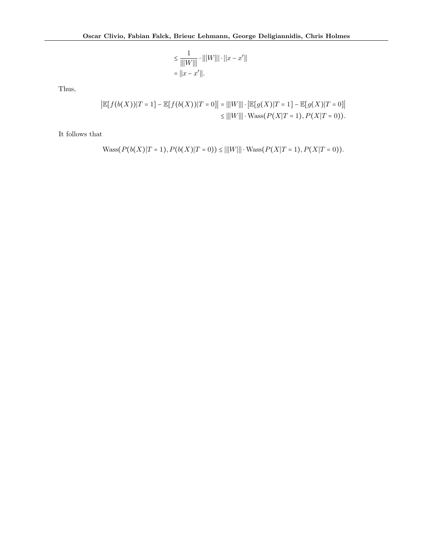$$
\leq \frac{1}{|||W|||} \cdot |||W||| \cdot ||x - x'||
$$
  
=  $||x - x'||$ .

Thus,

$$
\left| \mathbb{E}[f(b(X))|T=1] - \mathbb{E}[f(b(X))|T=0] \right| = |||W||| \cdot \left| \mathbb{E}[g(X)|T=1] - \mathbb{E}[g(X)|T=0] \right|
$$
  
\n
$$
\leq |||W||| \cdot \text{Wass}(P(X|T=1), P(X|T=0)).
$$

It follows that

$$
\text{Wass}(P(b(X)|T=1), P(b(X)|T=0)) \le |||W||| \cdot \text{Wass}(P(X|T=1), P(X|T=0)).
$$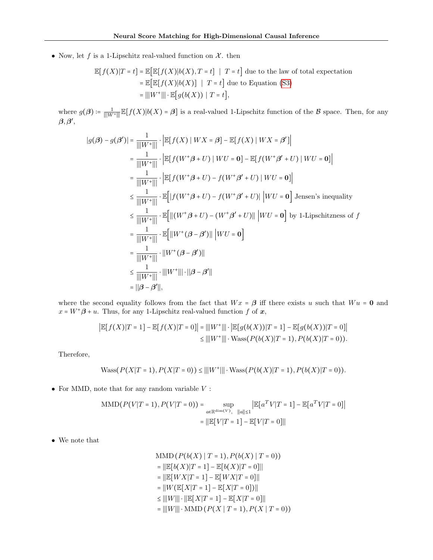• Now, let f is a 1-Lipschitz real-valued function on  $\mathcal{X}$ . then

$$
\mathbb{E}[f(X)|T=t] = \mathbb{E}[\mathbb{E}[f(X)|b(X), T=t] | T=t]
$$
 due to the law of total expectation  
=  $\mathbb{E}[\mathbb{E}[f(X)|b(X)] | T=t]$  due to Equation (S3)  
=  $|||W^+||| \cdot \mathbb{E}[g(b(X)) | T=t]$ ,

where  $g(\boldsymbol{\beta}) \coloneqq \frac{1}{\|\|W^+\|}\mathbb{E}[f(X)|b(X) = \boldsymbol{\beta}]$  is a real-valued 1-Lipschitz function of the  $\boldsymbol{\beta}$  space. Then, for any β,β **′** ,

$$
|g(\beta) - g(\beta')| = \frac{1}{|||W^+|||} \cdot \left| \mathbb{E}[f(X) | WX = \beta] - \mathbb{E}[f(X) | WX = \beta'] \right|
$$
  
\n
$$
= \frac{1}{|||W^+|||} \cdot \left| \mathbb{E}[f(W^+\beta + U) | WU = 0] - \mathbb{E}[f(W^+\beta' + U) | WU = 0] \right|
$$
  
\n
$$
= \frac{1}{|||W^+|||} \cdot \left| \mathbb{E}[f(W^+\beta + U) - f(W^+\beta' + U) | WU = 0] \right|
$$
  
\n
$$
\leq \frac{1}{|||W^+|||} \cdot \mathbb{E}[|f(W^+\beta + U) - f(W^+\beta' + U)| | WU = 0] \text{ Jensen's inequality}
$$
  
\n
$$
\leq \frac{1}{||W^+|||} \cdot \mathbb{E}[||(W^+\beta + U) - (W^+\beta' + U)|| | WU = 0] \text{ by 1-Lipschitzness of } f
$$
  
\n
$$
= \frac{1}{||W^+|||} \cdot \mathbb{E}[||W^+ (\beta - \beta')|| | WU = 0]
$$
  
\n
$$
= \frac{1}{||W^+|||} \cdot ||W^+ (\beta - \beta')||
$$
  
\n
$$
\leq \frac{1}{||W^+|||} \cdot ||W^+|| \cdot ||\beta - \beta'||
$$
  
\n
$$
= ||\beta - \beta'||,
$$

where the second equality follows from the fact that  $Wx = \beta$  iff there exists u such that  $Wu = 0$  and  $x = W^+ \beta + u$ . Thus, for any 1-Lipschitz real-valued function f of x,

$$
\begin{aligned} \left| \mathbb{E}[f(X)|T=1] - \mathbb{E}[f(X)|T=0] \right| &= \left| \left| |W^+| \right| \right| \cdot \left| \mathbb{E}[g(b(X))|T=1] - \mathbb{E}[g(b(X))|T=0] \right| \\ &\leq \left| \left| |W^+| \right| \right| \cdot \text{Wass}(P(b(X)|T=1), P(b(X)|T=0)). \end{aligned}
$$

Therefore,

$$
\text{Wass}(P(X|T=1), P(X|T=0)) \le |||W^+||| \cdot \text{Wass}(P(b(X)|T=1), P(b(X)|T=0)).
$$

 $\bullet\,$  For MMD, note that for any random variable  $V$  :

$$
\text{MMD}(P(V|T=1), P(V|T=0)) = \sup_{a \in \mathbb{R}^{\text{dim}(V)}, \ \|a\| \le 1} \left| \mathbb{E}\left[a^T V | T=1\right] - \mathbb{E}\left[a^T V | T=0\right] \right|
$$

$$
= \left| \left| \mathbb{E}\left[V | T=1\right] - \mathbb{E}\left[V | T=0\right] \right| \right|
$$

• We note that

MMD 
$$
(P(b(X) | T = 1), P(b(X) | T = 0))
$$
  
\n $= ||\mathbb{E}[b(X)|T = 1] - \mathbb{E}[b(X)|T = 0]||$   
\n $= ||\mathbb{E}[WX|T = 1] - \mathbb{E}[WX|T = 0]||$   
\n $= ||W(\mathbb{E}[X|T = 1] - \mathbb{E}[X|T = 0])||$   
\n $\leq |||W||| \cdot ||\mathbb{E}[X|T = 1] - \mathbb{E}[X|T = 0]||$   
\n $= |||W||| \cdot \text{MMD} (P(X | T = 1), P(X | T = 0))$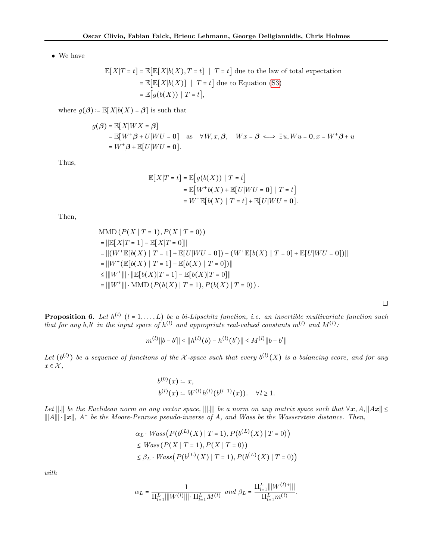• We have

$$
\mathbb{E}[X|T=t] = \mathbb{E}[\mathbb{E}[X|b(X), T=t] \mid T=t] \text{ due to the law of total expectation}
$$

$$
= \mathbb{E}[\mathbb{E}[X|b(X)] \mid T=t] \text{ due to Equation (S3)}
$$

$$
= \mathbb{E}[g(b(X)) \mid T=t],
$$

where  $g(\boldsymbol{\beta}) \coloneqq \mathbb{E}[X|b(X) = \boldsymbol{\beta}]$  is such that

$$
g(\boldsymbol{\beta}) = \mathbb{E}[X|WX = \boldsymbol{\beta}]
$$
  
=  $\mathbb{E}[W^+\boldsymbol{\beta} + U|WU = 0]$  as  $\forall W, x, \boldsymbol{\beta}, \quad Wx = \boldsymbol{\beta} \iff \exists u, Wu = 0, x = W^+\boldsymbol{\beta} + u$   
=  $W^+\boldsymbol{\beta} + \mathbb{E}[U|WU = 0].$ 

Thus,

$$
\mathbb{E}[X|T=t] = \mathbb{E}[g(b(X)) | T=t]
$$
  
= 
$$
\mathbb{E}[W^+b(X) + \mathbb{E}[U|WU = 0] | T=t]
$$
  
= 
$$
W^+\mathbb{E}[b(X) | T=t] + \mathbb{E}[U|WU = 0].
$$

Then,

$$
\begin{aligned}\n\text{MMD}\left(P(X \mid T=1), P(X \mid T=0)\right) &= \|\mathbb{E}[X|T=1] - \mathbb{E}[X|T=0]\| \\
&= \|(W^+ \mathbb{E}[b(X) \mid T=1] + \mathbb{E}[U|WU=0]) - (W^+ \mathbb{E}[b(X) \mid T=0] + \mathbb{E}[U|WU=0])\| \\
&= \|(W^+ (\mathbb{E}[b(X) \mid T=1] - \mathbb{E}[b(X) \mid T=0])\| \\
&\le \|W^+ \|\| \cdot \|\mathbb{E}[b(X)|T=1] - \mathbb{E}[b(X)|T=0]\| \\
&= \|(W^+ \|\| \cdot \text{MMD}\left(P(b(X) \mid T=1), P(b(X) \mid T=0)\right).\n\end{aligned}
$$

**Proposition 6.** Let  $h^{(l)}$   $(l = 1, ..., L)$  be a bi-Lipschitz function, i.e. an invertible multivariate function such that for any b, b' in the input space of  $h^{(l)}$  and appropriate real-valued constants  $m^{(l)}$  and  $M^{(l)}$ :

$$
m^{(l)}||b - b'|| \le ||h^{(l)}(b) - h^{(l)}(b')|| \le M^{(l)}||b - b'||
$$

Let  $(b^{(l)})$  be a sequence of functions of the X-space such that every  $b^{(l)}(X)$  is a balancing score, and for any  $x \in \mathcal{X},$ 

$$
b^{(0)}(x) \coloneqq x,
$$
  
\n
$$
b^{(l)}(x) \coloneqq W^{(l)}h^{(l)}(b^{(l-1)}(x)). \quad \forall l \ge 1.
$$

Let  $\Vert . \Vert$  be the Euclidean norm on any vector space,  $\Vert \Vert . \Vert$  be a norm on any matrix space such that  $\forall x, A, \Vert Ax \Vert \leq \ell$  $\|\|A\|\|\cdot\|x\|$ ,  $A^+$  be the Moore-Penrose pseudo-inverse of A, and Wass be the Wasserstein distance. Then,

$$
\alpha_L \cdot Wass\big(P(b^{(L)}(X) \mid T=1), P(b^{(L)}(X) \mid T=0)\big) \leq Wass\big(P(X \mid T=1), P(X \mid T=0)\big) \leq \beta_L \cdot Wass\big(P(b^{(L)}(X) \mid T=1), P(b^{(L)}(X) \mid T=0)\big)
$$

with

$$
\alpha_L = \frac{1}{\Pi_{l=1}^L |||W^{(l)}||| \cdot \Pi_{l=1}^L M^{(l)}} \hspace{0.2cm} and \hspace{0.1cm} \beta_L = \frac{\Pi_{l=1}^L |||W^{(l)+}|||}{\Pi_{l=1}^L m^{(l)}}.
$$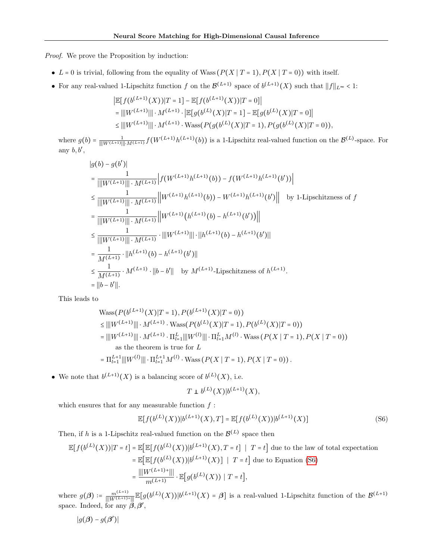Proof. We prove the Proposition by induction:

- L = 0 is trivial, following from the equality of Wass  $(P(X | T = 1), P(X | T = 0))$  with itself.
- For any real-valued 1-Lipschitz function f on the  $\mathcal{B}^{(L+1)}$  space of  $b^{(L+1)}(X)$  such that  $||f||_{L^{\infty}} < 1$ :

$$
\begin{aligned} &\left|\mathbb{E}\big[f(b^{(L+1)}(X))|T=1\right]-\mathbb{E}\big[f(b^{(L+1)}(X))|T=0\right] \\ &=\left|\left|\left|W^{(L+1)}\right|\right|\right|\cdot M^{(L+1)}\cdot\left|\mathbb{E}\big[g(b^{(L)}(X)|T=1\big]-\mathbb{E}\big[g(b^{(L)}(X)|T=0\big)\right] \\ &\leq\left|\left|\left|W^{(L+1)}\right|\right|\right|\cdot M^{(L+1)}\cdot\text{Wass}(P(g(b^{(L)}(X)|T=1),P(g(b^{(L)}(X)|T=0)), \end{aligned}
$$

where  $g(b) = \frac{1}{\| [W^{(L+1)}] \| \cdot M^{(L+1)}} f(W^{(L+1)} h^{(L+1)}(b))$  is a 1-Lipschitz real-valued function on the  $\mathcal{B}^{(L)}$ -space. For any  $b, b',$ 

$$
|g(b) - g(b')|
$$
\n
$$
= \frac{1}{\|W^{(L+1)}\| \cdot M^{(L+1)}} \left| f(W^{(L+1)}h^{(L+1)}(b)) - f(W^{(L+1)}h^{(L+1)}(b')) \right|
$$
\n
$$
\leq \frac{1}{\|W^{(L+1)}\| \cdot M^{(L+1)}} \left\| W^{(L+1)}h^{(L+1)}(b) - W^{(L+1)}h^{(L+1)}(b') \right\| \text{ by 1-Lipschitzness of } f
$$
\n
$$
= \frac{1}{\|W^{(L+1)}\| \cdot M^{(L+1)}} \left\| W^{(L+1)}(h^{(L+1)}(b) - h^{(L+1)}(b')) \right\|
$$
\n
$$
\leq \frac{1}{\|W^{(L+1)}\| \cdot M^{(L+1)}} \cdot \|W^{(L+1)}\| \cdot \|h^{(L+1)}(b) - h^{(L+1)}(b') \|
$$
\n
$$
= \frac{1}{M^{(L+1)}} \cdot \|h^{(L+1)}(b) - h^{(L+1)}(b') \|
$$
\n
$$
\leq \frac{1}{M^{(L+1)}} \cdot M^{(L+1)} \cdot \|b - b' \| \text{ by } M^{(L+1)}\text{-Lipschitzness of } h^{(L+1)}.
$$
\n
$$
= \|b - b' \|.
$$

This leads to

$$
\begin{aligned} &\text{Wass}(P(b^{(L+1)}(X)|T=1), P(b^{(L+1)}(X)|T=0)) \\ &\leq \|\|W^{(L+1)}\|\|\cdot M^{(L+1)}\cdot\text{Wass}(P(b^{(L)}(X)|T=1), P(b^{(L)}(X)|T=0)) \\ &= \|\|W^{(L+1)}\|\|\cdot M^{(L+1)}\cdot\Pi_{t=1}^L\|\|W^{(l)}\|\|\cdot\Pi_{t=1}^L M^{(l)}\cdot\text{Wass}(P(X\mid T=1), P(X\mid T=0)) \\ &\text{as the theorem is true for } L \\ &= \Pi_{t=1}^{L+1}\|\|W^{(l)}\|\|\cdot\Pi_{t=1}^{L+1} M^{(l)}\cdot\text{Wass}(P(X\mid T=1), P(X\mid T=0)). \end{aligned}
$$

• We note that  $b^{(L+1)}(X)$  is a balancing score of  $b^{(L)}(X)$ , i.e.

<span id="page-17-0"></span>
$$
T \perp b^{(L)}(X)|b^{(L+1)}(X),
$$

which ensures that for any measurable function  $f$ :

$$
\mathbb{E}[f(b^{(L)}(X))|b^{(L+1)}(X),T] = \mathbb{E}[f(b^{(L)}(X))|b^{(L+1)}(X)]
$$
\n(S6)

Then, if h is a 1-Lipschitz real-valued function on the  $\mathcal{B}^{(L)}$  space then

$$
\mathbb{E}[f(b^{(L)}(X))|T=t] = \mathbb{E}[\mathbb{E}[f(b^{(L)}(X))|b^{(L+1)}(X), T=t] | T=t]
$$
 due to the law of total expectation  
\n
$$
= \mathbb{E}[\mathbb{E}[f(b^{(L)}(X))|b^{(L+1)}(X)] | T=t]
$$
 due to Equation (S6)  
\n
$$
= \frac{\|W^{(L+1)+}\|}{m^{(L+1)}} \cdot \mathbb{E}[g(b^{(L)}(X)) | T=t],
$$

where  $g(\boldsymbol{\beta}) \coloneqq \frac{m^{(L+1)}}{\|W^{(L+1)+}\|} \mathbb{E}[g(b^{(L)}(X))]b^{(L+1)}(X) = \boldsymbol{\beta}]$  is a real-valued 1-Lipschitz function of the  $\mathcal{B}^{(L+1)}$ space. Indeed, for any  $\ddot{\beta}, \beta'$ ,

$$
|g(\boldsymbol{\beta})-g(\boldsymbol{\beta}')|
$$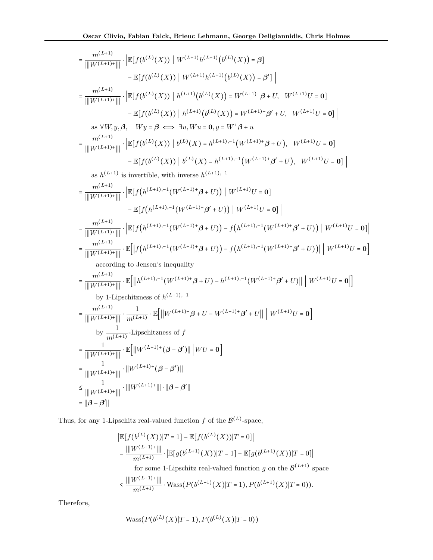$$
= \frac{m^{(L+1)}}{||W^{(L+1)*}||} \cdot \frac{1}{||E[f(b^{(L)}(X))||W^{(L+1)}h^{(L+1)}(b^{(L)}(X)) = \beta]}{ \cdot \frac{1}{||W^{(L+1)*}||} \cdot \frac{1}{||E[f(b^{(L)}(X))||h^{(L+1)}(b^{(L)}(X)) = W^{(L+1)*}\beta + U, W^{(L+1)}U = 0]}{||W^{(L+1)*}||} \cdot \frac{1}{||E[f(b^{(L)}(X))||h^{(L+1)}(b^{(L)}(X)) = W^{(L+1)*}\beta + U, W^{(L+1)}U = 0]}{ \cdot \frac{1}{||W^{(L+1)*}||} \cdot \frac{1}{||E[f(b^{(L)}(X))||h^{(L)}(X)) = W^{(L+1)*}\beta + U, W^{(L+1)}U = 0]}{||W^{(L+1)*}||} \cdot \frac{1}{||E[f(b^{(L)}(X))||b^{(L)}(X) = h^{(L+1),-1}(W^{(L+1)*}\beta + U), W^{(L+1)}U = 0]}{ - \frac{1}{||W^{(L+1)*}||} \cdot \frac{1}{||E[f(b^{(L)}(X))||b^{(L)}(X) = h^{(L+1),-1}(W^{(L+1)*}\beta + U), W^{(L+1)}U = 0]} - \frac{1}{||W^{(L+1)*}||} \cdot \frac{1}{||E[f(h^{(L+1),-1}(W^{(L+1)*}\beta + U))||W^{(L+1)*}\beta + U), W^{(L+1)}U = 0]} \cdot \frac{1}{||W^{(L+1)*}||} \cdot \frac{1}{||E[f(h^{(L+1),-1}(W^{(L+1)*}\beta + U))||W^{(L+1)}U = 0]} - \frac{1}{||W^{(L+1)*}||} \cdot \frac{1}{||E[f(h^{(L+1),-1}(W^{(L+1)*}\beta + U))||W^{(L+1)}U = 0]} - \frac{1}{||W^{(L+1)*}||} \cdot \frac{1}{||W^{(L+1)*}||} \cdot \frac{1}{||E[f(h^{(L+1),-1}(W^{(L+1)*}\beta + U))||W^{(L+1)*}\beta + U)||}{||W^{(L+1)*}||} \cdot \frac{1}{||W^{(L+1)*}||} \cdot \frac{
$$

Thus, for any 1-Lipschitz real-valued function  $f$  of the  $\mathcal{B}^{(L)}$ -space,

$$
\begin{aligned} \left| \mathbb{E}[f(b^{(L)}(X))]T=1 \right] - \mathbb{E}[f(b^{(L)}(X))]T=0] \right| \\ &= \frac{\left| \left| W^{(L+1)+} \right| \right|}{m^{(L+1)}} \cdot \left| \mathbb{E}[g(b^{(L+1)}(X))]T=1 \right] - \mathbb{E}[g(b^{(L+1)}(X))]T=0] \right| \\ &\text{for some 1-Lipschitz real-valued function } g \text{ on the } \mathcal{B}^{(L+1)} \text{ span} \\ \left| W^{(L+1)+1} \right| \end{aligned}
$$

 $\operatorname{ace}$ 

$$
\leq \frac{\big|\big| |W^{(L+1)+}\big|\big| |}{m^{(L+1)}}\cdot \mathrm{Wass}\big(P\big(b^{(L+1)}(X)\big|T=1\big),P\big(b^{(L+1)}(X)\big|T=0\big)\big).
$$

Therefore,

$$
Wass(P(b^{(L)}(X)|T=1), P(b^{(L)}(X)|T=0))
$$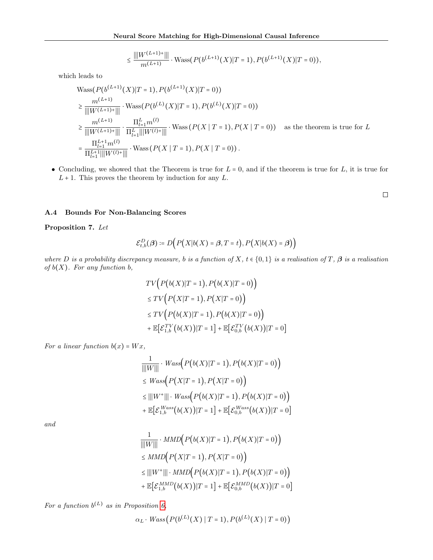$$
\leq \frac{\|W^{(L+1)+}\||}{m^{(L+1)}} \cdot \text{Wass}(P(b^{(L+1)}(X)|T=1), P(b^{(L+1)}(X)|T=0)),
$$

which leads to

$$
\begin{split} & \text{Wass}(P(b^{(L+1)}(X)|T=1), P(b^{(L+1)}(X)|T=0)) \\ &\geq \frac{m^{(L+1)}}{||W^{(L+1)+}|||} \cdot \text{Wass}(P(b^{(L)}(X)|T=1), P(b^{(L)}(X)|T=0)) \\ &\geq \frac{m^{(L+1)}}{||W^{(L+1)+}|||} \cdot \frac{\prod_{l=1}^{L} m^{(l)}}{\prod_{l=1}^{L} ||W^{(l)+}|||} \cdot \text{Wass}(P(X | T=1), P(X | T=0)) \quad \text{as the theorem is true for } L \\ &= \frac{\prod_{l=1}^{L+1} m^{(l)}}{\prod_{l=1}^{L+1} ||W^{(l)+}|||} \cdot \text{Wass}(P(X | T=1), P(X | T=0)). \end{split}
$$

• Concluding, we showed that the Theorem is true for  $L = 0$ , and if the theorem is true for  $L$ , it is true for  $L + 1$ . This proves the theorem by induction for any  $L$ .

 $\Box$ 

## <span id="page-19-0"></span>A.4 Bounds For Non-Balancing Scores

Proposition 7. Let

$$
\mathcal{E}_{t,b}^D(\boldsymbol{\beta}) \coloneqq D\Big(P\big(X|b(X) = \boldsymbol{\beta}, T = t\big), P\big(X|b(X) = \boldsymbol{\beta}\big)\Big)
$$

where D is a probability discrepancy measure, b is a function of X,  $t \in \{0,1\}$  is a realisation of T,  $\beta$  is a realisation of  $b(X)$ . For any function  $b$ ,

$$
TV(P(b(X)|T=1), P(b(X)|T=0))
$$
  
\n
$$
\leq TV(P(X|T=1), P(X|T=0))
$$
  
\n
$$
\leq TV(P(b(X)|T=1), P(b(X)|T=0))
$$
  
\n
$$
+ \mathbb{E}[\mathcal{E}_{1,b}^{TV}(b(X))|T=1] + \mathbb{E}[\mathcal{E}_{0,b}^{TV}(b(X))|T=0]
$$

For a linear function  $b(x) = Wx$ ,

$$
\frac{1}{\|W\|} \cdot Wass(P(b(X)|T=1), P(b(X)|T=0))
$$
\n
$$
\leq Wass(P(X|T=1), P(X|T=0))
$$
\n
$$
\leq |||W^+||| \cdot Wass(P(b(X)|T=1), P(b(X)|T=0))
$$
\n
$$
+ \mathbb{E}\big[\mathcal{E}_{1,b}^{Wass}(b(X))|T=1\big] + \mathbb{E}\big[\mathcal{E}_{0,b}^{Wass}(b(X))|T=0\big]
$$

and

$$
\frac{1}{|||W|||} \cdot MMD(P(b(X)|T=1), P(b(X)|T=0))
$$
\n
$$
\leq MMD(P(X|T=1), P(X|T=0))
$$
\n
$$
\leq |||W^+||| \cdot MMD(P(b(X)|T=1), P(b(X)|T=0))
$$
\n
$$
+ \mathbb{E}\big[\mathcal{E}_{1,b}^{MMD}(b(X))|T=1\big] + \mathbb{E}\big[\mathcal{E}_{0,b}^{MMD}(b(X))|T=0\big]
$$

For a function  $b^{(L)}$  as in Proposition [6,](#page-5-2)

$$
\alpha_L \cdot Wass\big(P(b^{(L)}(X) \mid T=1), P(b^{(L)}(X) \mid T=0)\big)
$$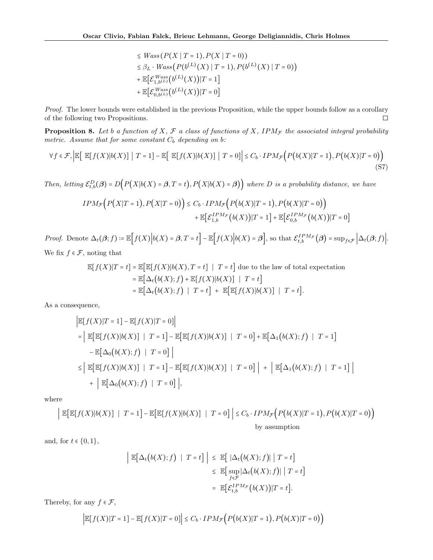<span id="page-20-0"></span>
$$
\leq Wass(P(X | T = 1), P(X | T = 0))
$$
  
\n
$$
\leq \beta_L \cdot Wass(P(b^{(L)}(X) | T = 1), P(b^{(L)}(X) | T = 0))
$$
  
\n
$$
+ \mathbb{E}\Big[\mathcal{E}_{1, b^{(L)}}^{Wass}(b^{(L)}(X)) | T = 1\Big]
$$
  
\n
$$
+ \mathbb{E}\Big[\mathcal{E}_{0, b^{(L)}}^{Wass}(b^{(L)}(X)) | T = 0\Big]
$$

Proof. The lower bounds were established in the previous Proposition, while the upper bounds follow as a corollary of the following two Propositions.  $\Box$ 

**Proposition 8.** Let b a function of X,  $\mathcal{F}$  a class of functions of X, IPM<sub>F</sub> the associated integral probability metric. Assume that for some constant  $C_b$  depending on b:

$$
\forall f \in \mathcal{F}, \left| \mathbb{E} \left[ \mathbb{E} [f(X)|b(X)] \mid T = 1 \right] - \mathbb{E} \left[ \mathbb{E} [f(X)|b(X)] \mid T = 0 \right] \right| \leq C_b \cdot IPM_{\mathcal{F}} \Big( P\big(b(X)|T = 1\big), P\big(b(X)|T = 0\big) \Big) \tag{S7}
$$

Then, letting  $\mathcal{E}_{t,b}^D(\beta) = D\Big(P\big(X|b(X) = \beta, T = t\big), P\big(X|b(X) = \beta\big)\Big)$  where D is a probability distance, we have

$$
IPM_{\mathcal{F}}\Big(P(X|T=1), P(X|T=0)\Big) \leq C_b \cdot IPM_{\mathcal{F}}\Big(P\big(b(X)|T=1\big), P\big(b(X)|T=0\big)\Big) + \mathbb{E}\Big[\mathcal{E}_{1,b}^{IPM_{\mathcal{F}}}\big(b(X)\big)|T=1\Big] + \mathbb{E}\Big[\mathcal{E}_{0,b}^{IPM_{\mathcal{F}}}\big(b(X)\big)|T=0\Big]
$$

Proof. Denote  $\Delta_t(\beta; f) := \mathbb{E}\Big[f(X)\Big|b(X) = \beta, T = t\Big] - \mathbb{E}\Big[f(X)\Big|b(X) = \beta\Big],$  so that  $\mathcal{E}_{t,b}^{IPM_{\mathcal{F}}}(\beta) = \sup_{f \in \mathcal{F}} \Big|\Delta_t(\beta; f)\Big|$ . We fix  $f \in \mathcal{F}$ , noting that

$$
\mathbb{E}[f(X)|T=t] = \mathbb{E}[\mathbb{E}[f(X)|b(X), T=t] | T=t] \text{ due to the law of total expectation}
$$

$$
= \mathbb{E}[\Delta_t(b(X);f) + \mathbb{E}[f(X)|b(X)] | T=t]
$$

$$
= \mathbb{E}[\Delta_t(b(X);f) | T=t] + \mathbb{E}[\mathbb{E}[f(X)|b(X)] | T=t].
$$

As a consequence,

$$
\begin{aligned}\n\mathbb{E}[f(X)|T=1] - \mathbb{E}[f(X)|T=0] \\
&= \left| \mathbb{E}[\mathbb{E}[f(X)|b(X)] | T=1] - \mathbb{E}[\mathbb{E}[f(X)|b(X)] | T=0] + \mathbb{E}[\Delta_1(b(X);f) | T=1] \right. \\
&\left. - \mathbb{E}[\Delta_0(b(X);f) | T=0] \right| \\
&\leq \left| \mathbb{E}[\mathbb{E}[f(X)|b(X)] | T=1] - \mathbb{E}[\mathbb{E}[f(X)|b(X)] | T=0] \right| + \left| \mathbb{E}[\Delta_1(b(X);f) | T=1] \right| \\
&\quad + \left| \mathbb{E}[\Delta_0(b(X);f) | T=0] \right|,\n\end{aligned}
$$

where

$$
\left| \mathbb{E}[\mathbb{E}[f(X)|b(X)] \mid T=1] - \mathbb{E}[\mathbb{E}[f(X)|b(X)] \mid T=0] \right| \leq C_b \cdot IPM_{\mathcal{F}}\Big(P\big(b(X)|T=1\big), P\big(b(X)|T=0\big)\Big)
$$
by assumption

and, for  $t \in \{0, 1\}$ ,

$$
\left| \mathbb{E}[\Delta_t(b(X);f) \mid T=t] \right| \leq \mathbb{E}[\Delta_t(b(X);f)| \mid T=t] \leq \mathbb{E}[\sup_{f \in \mathcal{F}} |\Delta_t(b(X);f)| \mid T=t] \n= \mathbb{E}[\mathcal{E}_{t,b}^{IPM_{\mathcal{F}}}(b(X))|T=t].
$$

Thereby, for any  $f \in \mathcal{F}$ ,

$$
\Big|\mathbb{E}[f(X)|T=1]-\mathbb{E}[f(X)|T=0]\Big|\leq C_b\cdot IPM_{\mathcal{F}}\Big(P\big(b(X)|T=1\big),P\big(b(X)|T=0\big)\Big)
$$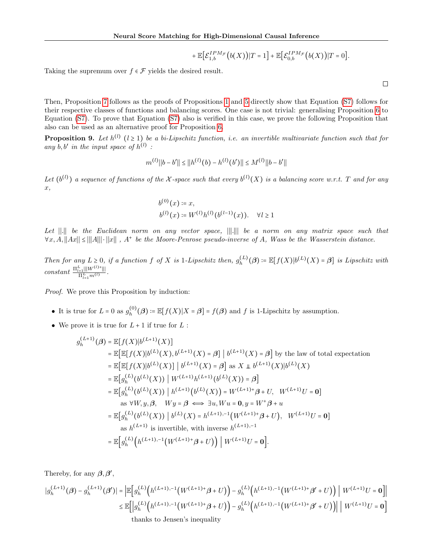$$
+ \, \mathbb{E}\Big[\mathcal{E}_{1,b}^{IPM_{\mathcal{F}}}\big(b(X)\big)\big|T=1\Big]+ \mathbb{E}\Big[\mathcal{E}_{0,b}^{IPM_{\mathcal{F}}}\big(b(X)\big)\big|T=0\Big].
$$

Taking the supremum over  $f \in \mathcal{F}$  yields the desired result.

 $\Box$ 

Then, Proposition [7](#page-6-2) follows as the proofs of Propositions [1](#page-3-1) and [5](#page-4-5) directly show that Equation [\(S7\)](#page-20-0) follows for their respective classes of functions and balancing scores. One case is not trivial: generalising Proposition [6](#page-5-2) to Equation [\(S7\)](#page-20-0). To prove that Equation [\(S7\)](#page-20-0) also is verified in this case, we prove the following Proposition that also can be used as an alternative proof for Proposition [6.](#page-5-2)

<span id="page-21-0"></span>**Proposition 9.** Let  $h^{(l)}$   $(l \ge 1)$  be a bi-Lipschitz function, i.e. an invertible multivariate function such that for any  $b, b'$  in the input space of  $h^{(l)}$ :

$$
m^{(l)}||b - b'|| \le ||h^{(l)}(b) - h^{(l)}(b')|| \le M^{(l)}||b - b'||
$$

Let  $(b^{(l)})$  a sequence of functions of the X-space such that every  $b^{(l)}(X)$  is a balancing score w.r.t. T and for any x,

$$
b^{(0)}(x) \coloneqq x,
$$
  
\n
$$
b^{(l)}(x) \coloneqq W^{(l)}h^{(l)}(b^{(l-1)}(x)). \quad \forall l \ge 1
$$

Let ∣∣.∣∣ be the Euclidean norm on any vector space, ∣∣∣.∣∣∣ be a norm on any matrix space such that  $\forall x, A, ||Ax|| \leq |||A||| \cdot ||x||$ ,  $A^+$  be the Moore-Penrose pseudo-inverse of A, Wass be the Wasserstein distance.

Then for any  $L \geq 0$ , if a function f of X is 1-Lipschitz then,  $g_h^{(L)}$  $h^{(L)}_{h}(\boldsymbol{\beta}) \coloneqq \mathbb{E}[f(X)|b^{(L)}(X)=\boldsymbol{\beta}]$  is Lipschitz with  $constant \frac{\prod_{l=1}^{L} ||W^{(l)+}||}{\prod_{l=1}^{L} m^{(l)}}.$ 

Proof. We prove this Proposition by induction:

- It is true for  $L = 0$  as  $g_h^{(0)}$  $h_b^{(0)}(\boldsymbol{\beta}) := \mathbb{E}[f(X)|X = \boldsymbol{\beta}] = f(\boldsymbol{\beta})$  and f is 1-Lipschitz by assumption.
- $\bullet\,$  We prove it is true for  $L+1$  if true for  $L$  :

$$
g_h^{(L+1)}(\beta) = \mathbb{E}[f(X)|b^{(L+1)}(X)]
$$
  
\n
$$
= \mathbb{E}[\mathbb{E}[f(X)|b^{(L)}(X), b^{(L+1)}(X) = \beta] | b^{(L+1)}(X) = \beta] \text{ by the law of total expectation}
$$
  
\n
$$
= \mathbb{E}[\mathbb{E}[f(X)|b^{(L)}(X)] | b^{(L+1)}(X) = \beta] \text{ as } X \perp b^{(L+1)}(X)|b^{(L)}(X)
$$
  
\n
$$
= \mathbb{E}[g_h^{(L)}(b^{(L)}(X)) | W^{(L+1)}h^{(L+1)}(b^{(L)}(X)) = \beta]
$$
  
\n
$$
= \mathbb{E}[g_h^{(L)}(b^{(L)}(X)) | h^{(L+1)}(b^{(L)}(X)) = W^{(L+1)+}\beta + U, W^{(L+1)}U = 0]
$$
  
\nas  $\forall W, y, \beta, Wy = \beta \iff \exists u, Wu = 0, y = W^+\beta + u$   
\n
$$
= \mathbb{E}[g_h^{(L)}(b^{(L)}(X)) | b^{(L)}(X) = h^{(L+1),-1}(W^{(L+1)+}\beta + U), W^{(L+1)}U = 0]
$$
  
\nas  $h^{(L+1)}$  is invertible, with inverse  $h^{(L+1),-1}$   
\n
$$
= \mathbb{E}[g_h^{(L)}(h^{(L+1),-1}(W^{(L+1)+}\beta + U)) | W^{(L+1)}U = 0].
$$

Thereby, for any  $\beta$ ,  $\beta'$ ,

$$
|g_h^{(L+1)}(\beta) - g_h^{(L+1)}(\beta')| = \left| \mathbb{E} \left[ g_h^{(L)} \left( h^{(L+1),-1} \left( W^{(L+1)+} \beta + U \right) \right) - g_h^{(L)} \left( h^{(L+1),-1} \left( W^{(L+1)+} \beta' + U \right) \right) \right] W^{(L+1)} U = 0 \right] \right|
$$
  

$$
\leq \mathbb{E} \left[ \left| g_h^{(L)} \left( h^{(L+1),-1} \left( W^{(L+1)+} \beta + U \right) \right) - g_h^{(L)} \left( h^{(L+1),-1} \left( W^{(L+1)+} \beta' + U \right) \right) \right| \right] W^{(L+1)} U = 0 \right]
$$
  
then be the Poisson's inequality.

thanks to Jensen's inequality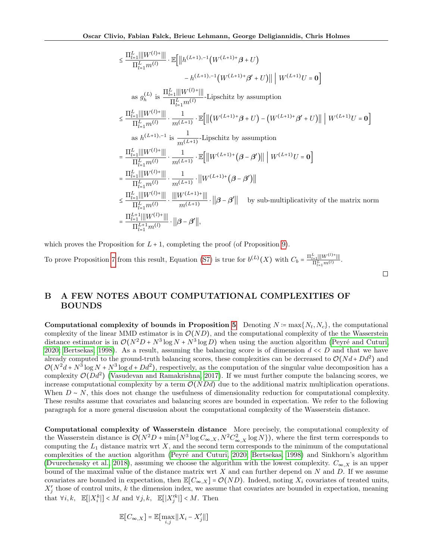$$
\leq \frac{\prod_{l=1}^{L} ||W^{(l)*}||}{\prod_{l=1}^{L} m^{(l)}} \cdot \mathbb{E}\Big[\Big|\Big|h^{(L+1),-1}\Big(W^{(L+1)+}\beta+U\Big)\Big| \\
- h^{(L+1),-1}\Big(W^{(L+1)+}\beta'+U\Big)\Big|\Big|\Big| W^{(L+1)}U=0\Big]
$$
\nas  $g_h^{(L)}$  is 
$$
\frac{\prod_{l=1}^{L} ||W^{(l)*}||}{\prod_{l=1}^{L} m^{(l)}} \cdot \text{Lipschitz by assumption}
$$
\n
$$
\leq \frac{\prod_{l=1}^{L} ||W^{(l)*}||}{\prod_{l=1}^{L} m^{(l)}} \cdot \frac{1}{m^{(L+1)}} \cdot \mathbb{E}\Big[\Big|\Big(\big(W^{(L+1)+}\beta+U\Big) - \big(W^{(L+1)+}\beta'+U\big)\Big|\Big|\Big| \, W^{(L+1)}U=0\Big]
$$
\nas  $h^{(L+1),-1}$  is 
$$
\frac{1}{m^{(L+1)}} \cdot \text{Lipschitz by assumption}
$$
\n
$$
= \frac{\prod_{l=1}^{L} ||W^{(l)*}||}{\prod_{l=1}^{L} m^{(l)}} \cdot \frac{1}{m^{(L+1)}} \cdot \mathbb{E}\Big[\Big|\Big| W^{(L+1)+}\Big(\beta-\beta'\Big)\Big|\Big|\Big| \, W^{(L+1)}U=0\Big]
$$
\n
$$
= \frac{\prod_{l=1}^{L} ||W^{(l)*}||}{\prod_{l=1}^{L} m^{(l)}} \cdot \frac{1}{m^{(L+1)}} \cdot \Big|\Big| W^{(L+1)+}\Big(\beta-\beta'\Big)\Big|\Big|
$$
\n
$$
\leq \frac{\prod_{l=1}^{L} ||W^{(l)*}||}{\prod_{l=1}^{L} m^{(l)}} \cdot \frac{||W^{(L+1)*}||}{m^{(L+1)}} \cdot \Big|\Big|\beta-\beta'\Big|\Big| \quad \text{by sub-multiplicativity of the matrix norm}
$$
\n
$$
= \frac{\prod_{l=1}^{L+1} ||W^{(l)*}||}{\prod_{l=1}^{L+1} m^{(l)}} \cdot \Big|\Big|\beta-\beta'\Big|\Big|,
$$

which proves the Proposition for  $L + 1$ , completing the proof (of Proposition [9\)](#page-21-0).

To prove Proposition [7](#page-6-2) from this result, Equation [\(S7\)](#page-20-0) is true for  $b^{(L)}(X)$  with  $C_b = \frac{\Pi_{l=1}^L ||W^{(l)+}||}{\Pi_{l=1}^L m^{(l)}}$ .

# <span id="page-22-0"></span>B A FEW NOTES ABOUT COMPUTATIONAL COMPLEXITIES OF BOUNDS

Computational complexity of bounds in Proposition [5](#page-4-5) Denoting  $N := \max\{N_t, N_c\}$ , the computational complexity of the linear MMD estimator is in  $\mathcal{O}(ND)$ , and the computational complexity of the the Wasserstein distance estimator is in  $\mathcal{O}(N^2D + N^3 \log N + N^3 \log D)$  when using the auction algorithm (Peyré and Cuturi, [2020;](#page-10-21) [Bertsekas, 1998\)](#page-9-21). As a result, assuming the balancing score is of dimension  $d \ll D$  and that we have already computed to the ground-truth balancing scores, these complexities can be decreased to  $\mathcal{O}(Nd + Dd^2)$  and  $\mathcal{O}(N^2d + N^3 \log N + N^3 \log d + Dd^2)$ , respectively, as the computation of the singular value decomposition has a complexity  $\mathcal{O}(Dd^2)$  [\(Vasudevan and Ramakrishna, 2017\)](#page-10-22). If we must further compute the balancing scores, we increase computational complexity by a term  $\mathcal{O}(N D d)$  due to the additional matrix multiplication operations. When  $D \sim N$ , this does not change the usefulness of dimensionality reduction for computational complexity. These results assume that covariates and balancing scores are bounded in expectation. We refer to the following paragraph for a more general discussion about the computational complexity of the Wasserstein distance.

Computational complexity of Wasserstein distance More precisely, the computational complexity of the Wasserstein distance is  $\mathcal{O}(N^2D + \min\{N^3\log C_{\infty,X}, N^2C_{\infty,X}^2\log N\})$ , where the first term corresponds to computing the  $L_1$  distance matrix wrt  $X$ , and the second term corresponds to the minimum of the computational complexities of the auction algorithm (Peyré and Cuturi, 2020; [Bertsekas, 1998\)](#page-9-21) and Sinkhorn's algorithm [\(Dvurechensky et al., 2018\)](#page-27-0), assuming we choose the algorithm with the lowest complexity.  $C_{\infty, X}$  is an upper bound of the maximal value of the distance matrix wrt  $X$  and can further depend on  $N$  and  $D$ . If we assume covariates are bounded in expectation, then  $\mathbb{E}[C_{\infty,X}] = \mathcal{O}(ND)$ . Indeed, noting  $X_i$  covariates of treated units,  $X'_{j}$  those of control units, k the dimension index, we assume that covariates are bounded in expectation, meaning that  $\forall i, k, \mathbb{E}[|X_i^k|] < M$  and  $\forall j, k, \mathbb{E}[|X_j'^k|] < M$ . Then

$$
\mathbb{E}[C_{\infty,X}] = \mathbb{E}[\max_{i,j} ||X_i - X'_j||]
$$

 $\Box$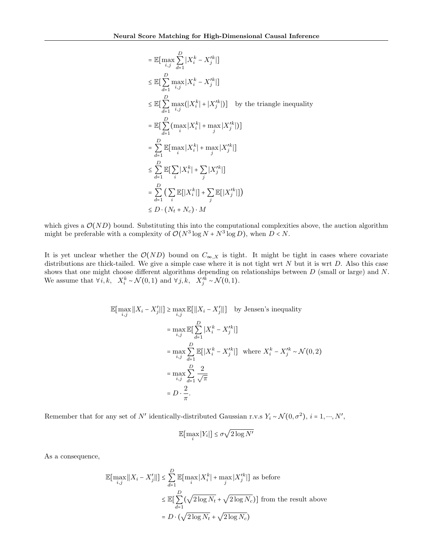$$
\begin{aligned}\n&= \mathbb{E}\big[\max_{i,j}\sum_{d=1}^{D}|X_i^k - X_j'^k|\big] \\
&\leq \mathbb{E}\big[\sum_{d=1}^{D}\max_{i,j}|X_i^k - X_j'^k|\big] \\
&\leq \mathbb{E}\big[\sum_{d=1}^{D}\max_{i,j}\big(|X_i^k| + |X_j'^k|\big)\big] \quad \text{by the triangle inequality} \\
&= \mathbb{E}\big[\sum_{d=1}^{D}\big(\max_i|X_i^k| + \max_j|X_j'^k|\big)\big] \\
&= \sum_{d=1}^{D}\mathbb{E}\big[\max_i|X_i^k| + \max_j|X_j'^k|\big] \\
&\leq \sum_{d=1}^{D}\mathbb{E}\big[\sum_i|X_i^k| + \sum_j|X_j'^k|\big] \\
&= \sum_{d=1}^{D}\big(\sum_i\mathbb{E}\big[|X_i^k|\big] + \sum_j\mathbb{E}\big[|X_j'^k|\big]\big) \\
&\leq D \cdot (N_t + N_c) \cdot M\n\end{aligned}
$$

which gives a  $\mathcal{O}(ND)$  bound. Substituting this into the computational complexities above, the auction algorithm might be preferable with a complexity of  $\mathcal{O}(N^3 \log N + N^3 \log D)$ , when  $D < N$ .

It is yet unclear whether the  $\mathcal{O}(ND)$  bound on  $C_{\infty,X}$  is tight. It might be tight in cases where covariate distributions are thick-tailed. We give a simple case where it is not tight wrt  $N$  but it is wrt  $D$ . Also this case shows that one might choose different algorithms depending on relationships between  $D$  (small or large) and  $N$ . We assume that  $\forall i, k, \quad X_i^k \sim \mathcal{N}(0, 1)$  and  $\forall j, k, \quad X_j'^k \sim \mathcal{N}(0, 1)$ .

$$
\mathbb{E}[\max_{i,j} ||X_i - X'_j||] \ge \max_{i,j} \mathbb{E}[||X_i - X'_j||] \text{ by Jensen's inequality}
$$
\n
$$
= \max_{i,j} \mathbb{E}[\sum_{d=1}^D |X_i^k - X_j'^k|]
$$
\n
$$
= \max_{i,j} \sum_{d=1}^D \mathbb{E}[|X_i^k - X_j'^k|] \text{ where } X_i^k - X_j'^k \sim \mathcal{N}(0, 2)
$$
\n
$$
= \max_{i,j} \sum_{d=1}^D \frac{2}{\sqrt{\pi}}
$$
\n
$$
= D \cdot \frac{2}{\pi}.
$$

Remember that for any set of N' identically-distributed Gaussian r.v.s  $Y_i \sim \mathcal{N}(0, \sigma^2)$ ,  $i = 1, \dots, N'$ ,

$$
\mathbb{E}[\max_i |Y_i|] \le \sigma \sqrt{2 \log N'}
$$

As a consequence,

$$
\mathbb{E}[\max_{i,j} ||X_i - X'_j||] \le \sum_{d=1}^{D} \mathbb{E}[\max_i |X_i^k| + \max_j |X_j'^k|]
$$
 as before  

$$
\le \mathbb{E}[\sum_{d=1}^{D} (\sqrt{2 \log N_t} + \sqrt{2 \log N_c})]
$$
 from the result above  

$$
= D \cdot (\sqrt{2 \log N_t} + \sqrt{2 \log N_c})
$$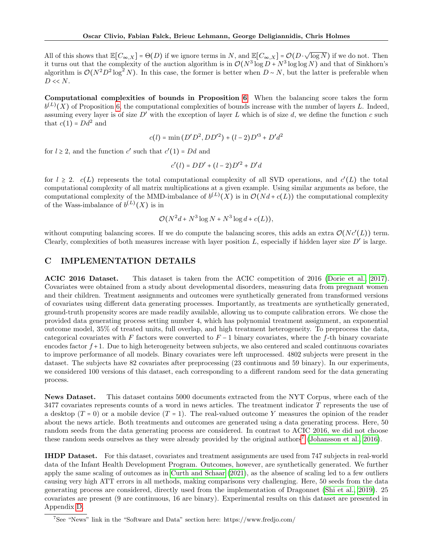All of this shows that  $\mathbb{E}[C_{\infty},X] = \Theta(D)$  if we ignore terms in N, and  $\mathbb{E}[C_{\infty},X] = \mathcal{O}(D \cdot \sqrt{\log N})$  if we do not. Then<br>it turns out that the complexity of the quotien elgorithm is in  $\mathcal{O}(N^3 \log D + N^3 \log \log N)$  and th it turns out that the complexity of the auction algorithm is in  $\mathcal{O}(N^3 \log D + N^3 \log \log N)$  and that of Sinkhorn's algorithm is  $\mathcal{O}(N^2D^2\log^2 N)$ . In this case, the former is better when  $D \sim N$ , but the latter is preferable when  $D \ll N$ .

Computational complexities of bounds in Proposition [6](#page-5-2) When the balancing score takes the form  $b^{(L)}(X)$  of Proposition [6,](#page-5-2) the computational complexities of bounds increase with the number of layers L. Indeed, assuming every layer is of size  $D'$  with the exception of layer L which is of size d, we define the function c such that  $c(1) = Dd^2$  and

$$
c(l) = \min (D'D^2, DD'^2) + (l-2)D'^3 + D'd^2
$$

for  $l \geq 2$ , and the function  $c'$  such that  $c'(1) = Dd$  and

$$
c'(l) = DD' + (l - 2)D'^2 + D'd
$$

for  $l \geq 2$ .  $c(L)$  represents the total computational complexity of all SVD operations, and  $c'(L)$  the total computational complexity of all matrix multiplications at a given example. Using similar arguments as before, the computational complexity of the MMD-imbalance of  $b^{(L)}(X)$  is in  $\mathcal{O}(Nd + c(L))$  the computational complexity of the Wass-imbalance of  $b^{(L)}(X)$  is in

$$
\mathcal{O}(N^2d + N^3\log N + N^3\log d + c(L)),
$$

without computing balancing scores. If we do compute the balancing scores, this adds an extra  $\mathcal{O}(Nc'(L))$  term. Clearly, complexities of both measures increase with layer position  $L$ , especially if hidden layer size  $D'$  is large.

## <span id="page-24-0"></span>C IMPLEMENTATION DETAILS

ACIC 2016 Dataset. This dataset is taken from the ACIC competition of 2016 [\(Dorie et al., 2017\)](#page-27-1). Covariates were obtained from a study about developmental disorders, measuring data from pregnant women and their children. Treatment assignments and outcomes were synthetically generated from transformed versions of covariates using different data generating processes. Importantly, as treatments are synthetically generated, ground-truth propensity scores are made readily available, allowing us to compute calibration errors. We chose the provided data generating process setting number 4, which has polynomial treatment assignment, an exponential outcome model, 35% of treated units, full overlap, and high treatment heterogeneity. To preprocess the data, categorical covariates with F factors were converted to  $F-1$  binary covariates, where the f-th binary covariate encodes factor  $f + 1$ . Due to high heterogeneity between subjects, we also centered and scaled continuous covariates to improve performance of all models. Binary covariates were left unprocessed. 4802 subjects were present in the dataset. The subjects have 82 covariates after preprocessing (23 continuous and 59 binary). In our experiments, we considered 100 versions of this dataset, each corresponding to a different random seed for the data generating process.

News Dataset. This dataset contains 5000 documents extracted from the NYT Corpus, where each of the 3477 covariates represents counts of a word in news articles. The treatment indicator T represents the use of a desktop  $(T = 0)$  or a mobile device  $(T = 1)$ . The real-valued outcome Y measures the opinion of the reader about the news article. Both treatments and outcomes are generated using a data generating process. Here, 50 random seeds from the data generating process are considered. In contrast to ACIC 2016, we did not choose these random seeds ourselves as they were already provided by the original authors<sup>[7](#page-24-1)</sup> [\(Johansson et al., 2016\)](#page-9-7).

IHDP Dataset. For this dataset, covariates and treatment assignments are used from 747 subjects in real-world data of the Infant Health Development Program. Outcomes, however, are synthetically generated. We further apply the same scaling of outcomes as in [Curth and Schaar](#page-9-20) [\(2021\)](#page-9-20), as the absence of scaling led to a few outliers causing very high ATT errors in all methods, making comparisons very challenging. Here, 50 seeds from the data generating process are considered, directly used from the implementation of Dragonnet [\(Shi et al., 2019\)](#page-10-14). 25 covariates are present (9 are continuous, 16 are binary). Experimental results on this dataset are presented in Appendix [D.](#page-26-0)

<span id="page-24-1"></span><sup>&</sup>lt;sup>7</sup>See "News" link in the "Software and Data" section here: https://www.fredjo.com/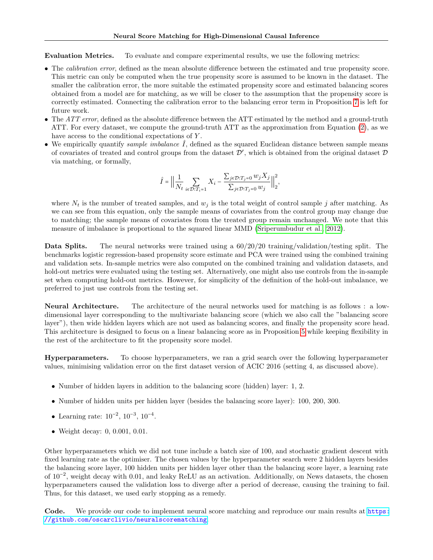Evaluation Metrics. To evaluate and compare experimental results, we use the following metrics:

- The *calibration error*, defined as the mean absolute difference between the estimated and true propensity score. This metric can only be computed when the true propensity score is assumed to be known in the dataset. The smaller the calibration error, the more suitable the estimated propensity score and estimated balancing scores obtained from a model are for matching, as we will be closer to the assumption that the propensity score is correctly estimated. Connecting the calibration error to the balancing error term in Proposition [7](#page-6-2) is left for future work.
- The *ATT error*, defined as the absolute difference between the ATT estimated by the method and a ground-truth ATT. For every dataset, we compute the ground-truth ATT as the approximation from Equation [\(2\)](#page-1-2), as we have access to the conditional expectations of Y.
- We empirically quantify *sample imbalance*  $\tilde{I}$ , defined as the squared Euclidean distance between sample means of covariates of treated and control groups from the dataset  $\mathcal{D}'$ , which is obtained from the original dataset  $\mathcal{D}$ via matching, or formally,

$$
\hat{I} = \Big|\Big| \frac{1}{N_t} \sum_{i \in \mathcal{D}: T_i = 1} X_i - \frac{\sum_{j \in \mathcal{D}: T_j = 0} w_j X_j}{\sum_{j \in \mathcal{D}: T_j = 0} w_j} \Big|\Big|_2^2,
$$

where  $N_t$  is the number of treated samples, and  $w_j$  is the total weight of control sample j after matching. As we can see from this equation, only the sample means of covariates from the control group may change due to matching; the sample means of covariates from the treated group remain unchanged. We note that this measure of imbalance is proportional to the squared linear MMD [\(Sriperumbudur et al., 2012\)](#page-10-8).

Data Splits. The neural networks were trained using a  $60/20/20$  training/validation/testing split. The benchmarks logistic regression-based propensity score estimate and PCA were trained using the combined training and validation sets. In-sample metrics were also computed on the combined training and validation datasets, and hold-out metrics were evaluated using the testing set. Alternatively, one might also use controls from the in-sample set when computing hold-out metrics. However, for simplicity of the definition of the hold-out imbalance, we preferred to just use controls from the testing set.

Neural Architecture. The architecture of the neural networks used for matching is as follows : a lowdimensional layer corresponding to the multivariate balancing score (which we also call the "balancing score layer"), then wide hidden layers which are not used as balancing scores, and finally the propensity score head. This architecture is designed to focus on a linear balancing score as in Proposition [5](#page-4-5) while keeping flexibility in the rest of the architecture to fit the propensity score model.

Hyperparameters. To choose hyperparameters, we ran a grid search over the following hyperparameter values, minimising validation error on the first dataset version of ACIC 2016 (setting 4, as discussed above).

- Number of hidden layers in addition to the balancing score (hidden) layer: 1, 2.
- Number of hidden units per hidden layer (besides the balancing score layer): 100, 200, 300.
- Learning rate:  $10^{-2}$ ,  $10^{-3}$ ,  $10^{-4}$ .
- Weight decay: 0, 0.001, 0.01.

Other hyperparameters which we did not tune include a batch size of 100, and stochastic gradient descent with fixed learning rate as the optimiser. The chosen values by the hyperparameter search were 2 hidden layers besides the balancing score layer, 100 hidden units per hidden layer other than the balancing score layer, a learning rate of 10<sup>−</sup><sup>2</sup> , weight decay with 0.01, and leaky ReLU as an activation. Additionally, on News datasets, the chosen hyperparameters caused the validation loss to diverge after a period of decrease, causing the training to fail. Thus, for this dataset, we used early stopping as a remedy.

Code. We provide our code to implement neural score matching and reproduce our main results at [https:](https://github.com/oscarclivio/neuralscorematching) [//github.com/oscarclivio/neuralscorematching](https://github.com/oscarclivio/neuralscorematching).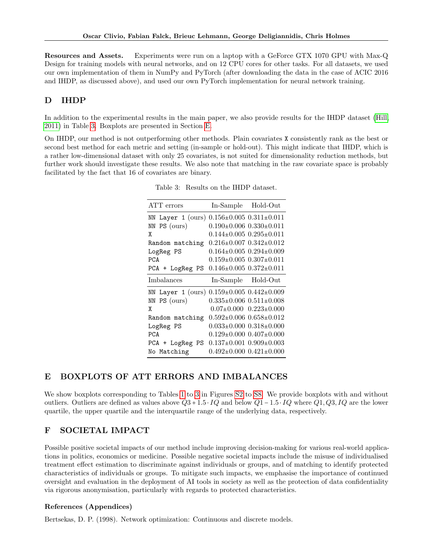Resources and Assets. Experiments were run on a laptop with a GeForce GTX 1070 GPU with Max-Q Design for training models with neural networks, and on 12 CPU cores for other tasks. For all datasets, we used our own implementation of them in NumPy and PyTorch (after downloading the data in the case of ACIC 2016 and IHDP, as discussed above), and used our own PyTorch implementation for neural network training.

# <span id="page-26-0"></span>D IHDP

In addition to the experimental results in the main paper, we also provide results for the IHDP dataset [\(Hill,](#page-27-2) [2011\)](#page-27-2) in Table [3.](#page-26-2) Boxplots are presented in Section [E.](#page-26-1)

<span id="page-26-2"></span>On IHDP, our method is not outperforming other methods. Plain covariates X consistently rank as the best or second best method for each metric and setting (in-sample or hold-out). This might indicate that IHDP, which is a rather low-dimensional dataset with only 25 covariates, is not suited for dimensionality reduction methods, but further work should investigate these results. We also note that matching in the raw covariate space is probably facilitated by the fact that 16 of covariates are binary.

| ATT errors             | In-Sample                           | Hold-Out                            |
|------------------------|-------------------------------------|-------------------------------------|
| Layer $1$ (ours)<br>NN |                                     | $0.156 \pm 0.005$ $0.311 \pm 0.011$ |
| PS (ours)<br>NN        |                                     | $0.190\pm0.006$ $0.330\pm0.011$     |
| χ                      |                                     | $0.144\pm0.005$ $0.295\pm0.011$     |
| Random matching        |                                     | $0.216 \pm 0.007$ $0.342 \pm 0.012$ |
| LogReg PS              |                                     | $0.164 \pm 0.005$ $0.294 \pm 0.009$ |
| <b>PCA</b>             |                                     | $0.159 \pm 0.005$ $0.307 \pm 0.011$ |
| PCA + LogReg PS        |                                     | $0.146 \pm 0.005$ $0.372 \pm 0.011$ |
| Imbalances             | In-Sample Hold-Out                  |                                     |
| NN Layer 1 (ours)      | $0.159 \pm 0.005$ $0.442 \pm 0.009$ |                                     |
| NN PS (ours)           |                                     | $0.335\pm0.006$ $0.511\pm0.008$     |
| χ                      |                                     | $0.07\pm0.000$ $0.223\pm0.000$      |
| Random matching        |                                     | $0.592 \pm 0.006$ $0.658 \pm 0.012$ |
| LogReg PS              |                                     | $0.033\pm0.000$ $0.318\pm0.000$     |
| <b>PCA</b>             |                                     | $0.129 \pm 0.000$ $0.407 \pm 0.000$ |
| PCA + LogReg PS        |                                     | $0.137 \pm 0.001$ $0.909 \pm 0.003$ |
| No Matching            |                                     | $0.492\pm0.000$ $0.421\pm0.000$     |

Table 3: Results on the IHDP dataset.

# <span id="page-26-1"></span>E BOXPLOTS OF ATT ERRORS AND IMBALANCES

We show boxplots corresponding to Tables [1](#page-7-0) to [3](#page-26-2) in Figures [S2](#page-28-0) to [S8.](#page-34-0) We provide boxplots with and without outliers. Outliers are defined as values above  $Q3 + 1.5 \cdot IQ$  and below  $Q1 - 1.5 \cdot IQ$  where  $Q1, Q3, IQ$  are the lower quartile, the upper quartile and the interquartile range of the underlying data, respectively.

# F SOCIETAL IMPACT

Possible positive societal impacts of our method include improving decision-making for various real-world applications in politics, economics or medicine. Possible negative societal impacts include the misuse of individualised treatment effect estimation to discriminate against individuals or groups, and of matching to identify protected characteristics of individuals or groups. To mitigate such impacts, we emphasise the importance of continued oversight and evaluation in the deployment of AI tools in society as well as the protection of data confidentiality via rigorous anonymisation, particularly with regards to protected characteristics.

## References (Appendices)

Bertsekas, D. P. (1998). Network optimization: Continuous and discrete models.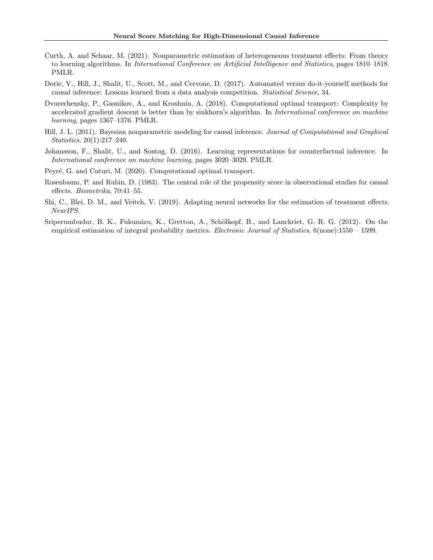- Curth, A. and Schaar, M. (2021). Nonparametric estimation of heterogeneous treatment effects: From theory to learning algorithms. In International Conference on Artificial Intelligence and Statistics, pages 1810–1818. PMLR.
- <span id="page-27-1"></span>Dorie, V., Hill, J., Shalit, U., Scott, M., and Cervone, D. (2017). Automated versus do-it-yourself methods for causal inference: Lessons learned from a data analysis competition. Statistical Science, 34.
- <span id="page-27-0"></span>Dvurechensky, P., Gasnikov, A., and Kroshnin, A. (2018). Computational optimal transport: Complexity by accelerated gradient descent is better than by sinkhorn's algorithm. In *International conference on machine* learning, pages 1367–1376. PMLR.
- <span id="page-27-2"></span>Hill, J. L. (2011). Bayesian nonparametric modeling for causal inference. Journal of Computational and Graphical Statistics, 20(1):217–240.
- Johansson, F., Shalit, U., and Sontag, D. (2016). Learning representations for counterfactual inference. In International conference on machine learning, pages 3020–3029. PMLR.
- Peyré, G. and Cuturi, M. (2020). Computational optimal transport.
- Rosenbaum, P. and Rubin, D. (1983). The central role of the propensity score in observational studies for causal effects. Biometrika, 70:41–55.
- Shi, C., Blei, D. M., and Veitch, V. (2019). Adapting neural networks for the estimation of treatment effects. NeurIPS.
- Sriperumbudur, B. K., Fukumizu, K., Gretton, A., Schölkopf, B., and Lanckriet, G. R. G. (2012). On the empirical estimation of integral probability metrics. *Electronic Journal of Statistics*, 6(none):1550 – 1599.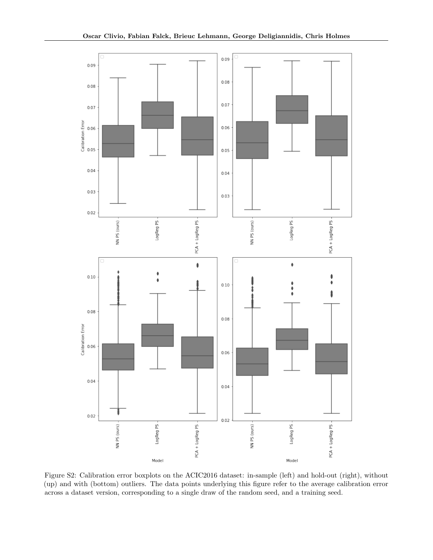<span id="page-28-0"></span>

Figure S2: Calibration error boxplots on the ACIC2016 dataset: in-sample (left) and hold-out (right), without (up) and with (bottom) outliers. The data points underlying this figure refer to the average calibration error across a dataset version, corresponding to a single draw of the random seed, and a training seed.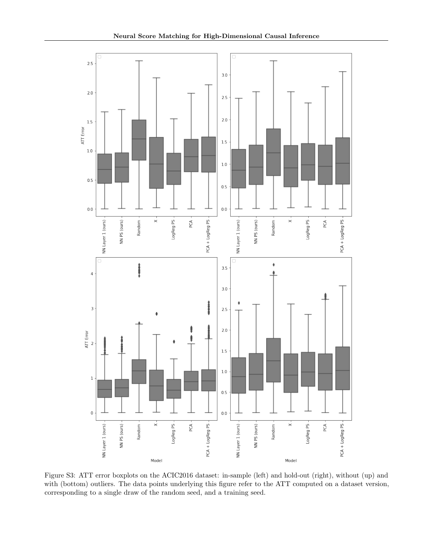

Figure S3: ATT error boxplots on the ACIC2016 dataset: in-sample (left) and hold-out (right), without (up) and with (bottom) outliers. The data points underlying this figure refer to the ATT computed on a dataset version, corresponding to a single draw of the random seed, and a training seed.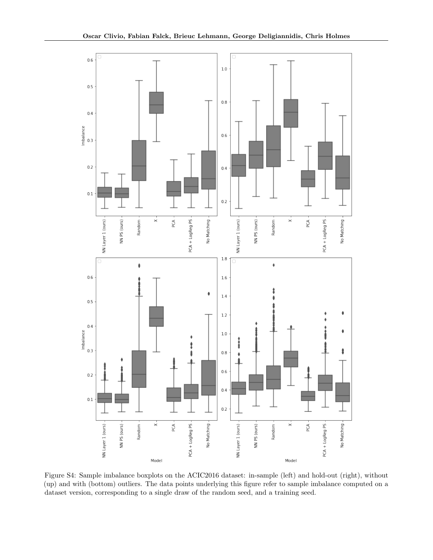

Figure S4: Sample imbalance boxplots on the ACIC2016 dataset: in-sample (left) and hold-out (right), without (up) and with (bottom) outliers. The data points underlying this figure refer to sample imbalance computed on a dataset version, corresponding to a single draw of the random seed, and a training seed.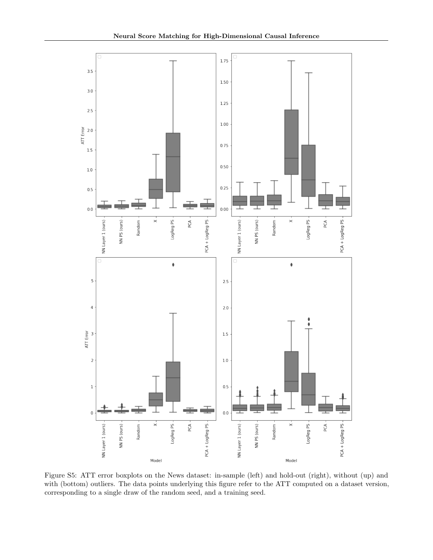

Figure S5: ATT error boxplots on the News dataset: in-sample (left) and hold-out (right), without (up) and with (bottom) outliers. The data points underlying this figure refer to the ATT computed on a dataset version, corresponding to a single draw of the random seed, and a training seed.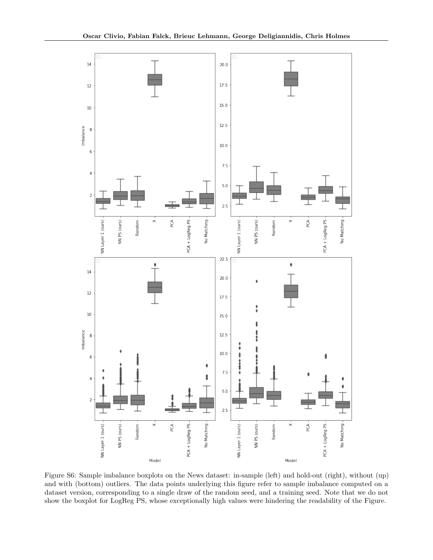

Figure S6: Sample imbalance boxplots on the News dataset: in-sample (left) and hold-out (right), without (up) and with (bottom) outliers. The data points underlying this figure refer to sample imbalance computed on a dataset version, corresponding to a single draw of the random seed, and a training seed. Note that we do not show the boxplot for LogReg PS, whose exceptionally high values were hindering the readability of the Figure.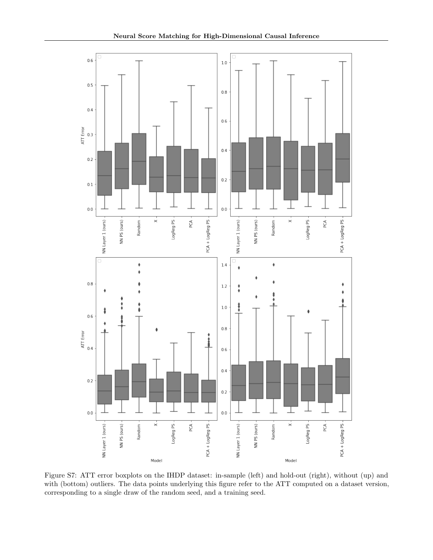

Figure S7: ATT error boxplots on the IHDP dataset: in-sample (left) and hold-out (right), without (up) and with (bottom) outliers. The data points underlying this figure refer to the ATT computed on a dataset version, corresponding to a single draw of the random seed, and a training seed.